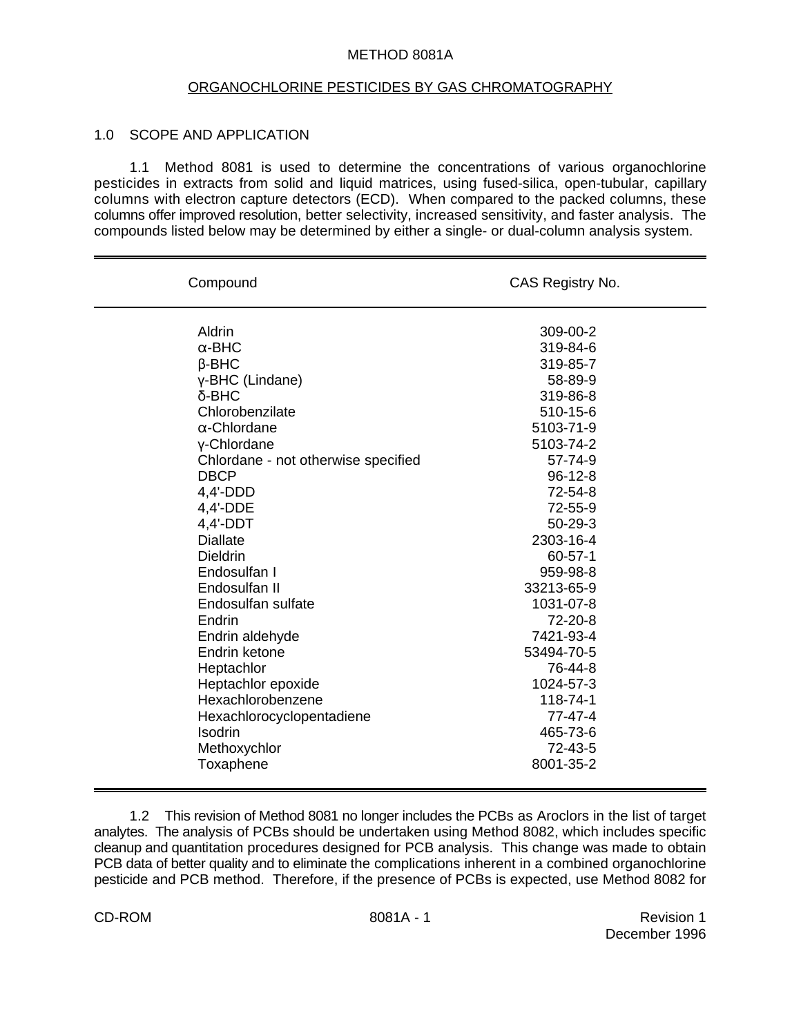## METHOD 8081A

#### ORGANOCHLORINE PESTICIDES BY GAS CHROMATOGRAPHY

### 1.0 SCOPE AND APPLICATION

1.1 Method 8081 is used to determine the concentrations of various organochlorine pesticides in extracts from solid and liquid matrices, using fused-silica, open-tubular, capillary columns with electron capture detectors (ECD). When compared to the packed columns, these columns offer improved resolution, better selectivity, increased sensitivity, and faster analysis. The compounds listed below may be determined by either a single- or dual-column analysis system.

| Compound                            | CAS Registry No. |
|-------------------------------------|------------------|
| Aldrin                              | 309-00-2         |
| $\alpha$ -BHC                       | 319-84-6         |
| $\beta$ -BHC                        | 319-85-7         |
| γ-BHC (Lindane)                     | 58-89-9          |
| $\delta$ -BHC                       | 319-86-8         |
| Chlorobenzilate                     | 510-15-6         |
| $\alpha$ -Chlordane                 | 5103-71-9        |
| y-Chlordane                         | 5103-74-2        |
| Chlordane - not otherwise specified | 57-74-9          |
| <b>DBCP</b>                         | $96 - 12 - 8$    |
| $4,4'-DDD$                          | 72-54-8          |
| 4,4'-DDE                            | 72-55-9          |
| $4,4'$ -DDT                         | $50 - 29 - 3$    |
| <b>Diallate</b>                     | 2303-16-4        |
| <b>Dieldrin</b>                     | $60 - 57 - 1$    |
| Endosulfan I                        | 959-98-8         |
| Endosulfan II                       | 33213-65-9       |
| Endosulfan sulfate                  | 1031-07-8        |
| Endrin                              | 72-20-8          |
| Endrin aldehyde                     | 7421-93-4        |
| Endrin ketone                       | 53494-70-5       |
| Heptachlor                          | 76-44-8          |
| Heptachlor epoxide                  | 1024-57-3        |
| Hexachlorobenzene                   | 118-74-1         |
| Hexachlorocyclopentadiene           | 77-47-4          |
| <b>Isodrin</b>                      | 465-73-6         |
| Methoxychlor                        | 72-43-5          |
| Toxaphene                           | 8001-35-2        |

1.2 This revision of Method 8081 no longer includes the PCBs as Aroclors in the list of target analytes. The analysis of PCBs should be undertaken using Method 8082, which includes specific cleanup and quantitation procedures designed for PCB analysis. This change was made to obtain PCB data of better quality and to eliminate the complications inherent in a combined organochlorine pesticide and PCB method. Therefore, if the presence of PCBs is expected, use Method 8082 for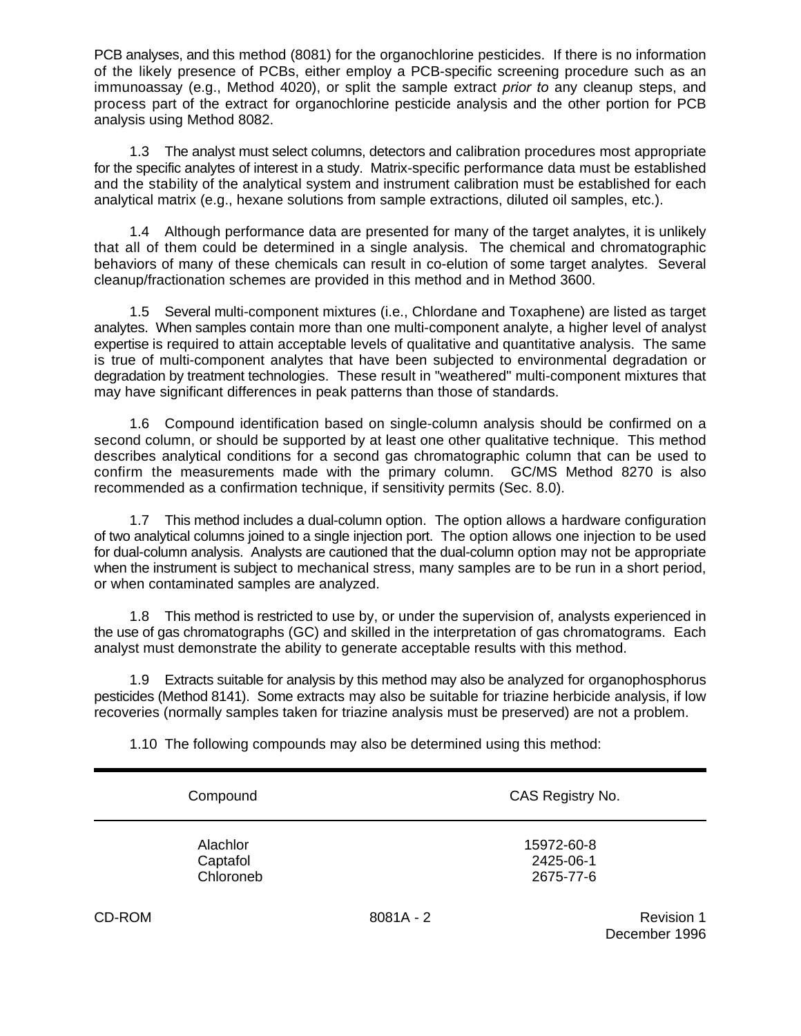PCB analyses, and this method (8081) for the organochlorine pesticides. If there is no information of the likely presence of PCBs, either employ a PCB-specific screening procedure such as an immunoassay (e.g., Method 4020), or split the sample extract *prior to* any cleanup steps, and process part of the extract for organochlorine pesticide analysis and the other portion for PCB analysis using Method 8082.

1.3 The analyst must select columns, detectors and calibration procedures most appropriate for the specific analytes of interest in a study. Matrix-specific performance data must be established and the stability of the analytical system and instrument calibration must be established for each analytical matrix (e.g., hexane solutions from sample extractions, diluted oil samples, etc.).

1.4 Although performance data are presented for many of the target analytes, it is unlikely that all of them could be determined in a single analysis. The chemical and chromatographic behaviors of many of these chemicals can result in co-elution of some target analytes. Several cleanup/fractionation schemes are provided in this method and in Method 3600.

1.5 Several multi-component mixtures (i.e., Chlordane and Toxaphene) are listed as target analytes. When samples contain more than one multi-component analyte, a higher level of analyst expertise is required to attain acceptable levels of qualitative and quantitative analysis. The same is true of multi-component analytes that have been subjected to environmental degradation or degradation by treatment technologies. These result in "weathered" multi-component mixtures that may have significant differences in peak patterns than those of standards.

1.6 Compound identification based on single-column analysis should be confirmed on a second column, or should be supported by at least one other qualitative technique. This method describes analytical conditions for a second gas chromatographic column that can be used to confirm the measurements made with the primary column. GC/MS Method 8270 is also recommended as a confirmation technique, if sensitivity permits (Sec. 8.0).

1.7 This method includes a dual-column option. The option allows a hardware configuration of two analytical columns joined to a single injection port. The option allows one injection to be used for dual-column analysis. Analysts are cautioned that the dual-column option may not be appropriate when the instrument is subject to mechanical stress, many samples are to be run in a short period, or when contaminated samples are analyzed.

1.8 This method is restricted to use by, or under the supervision of, analysts experienced in the use of gas chromatographs (GC) and skilled in the interpretation of gas chromatograms. Each analyst must demonstrate the ability to generate acceptable results with this method.

1.9 Extracts suitable for analysis by this method may also be analyzed for organophosphorus pesticides (Method 8141). Some extracts may also be suitable for triazine herbicide analysis, if low recoveries (normally samples taken for triazine analysis must be preserved) are not a problem.

1.10 The following compounds may also be determined using this method:

|        | Compound                          |             | CAS Registry No.                     |            |
|--------|-----------------------------------|-------------|--------------------------------------|------------|
|        | Alachlor<br>Captafol<br>Chloroneb |             | 15972-60-8<br>2425-06-1<br>2675-77-6 |            |
| CD-ROM |                                   | $8081A - 2$ |                                      | Revision 1 |

December 1996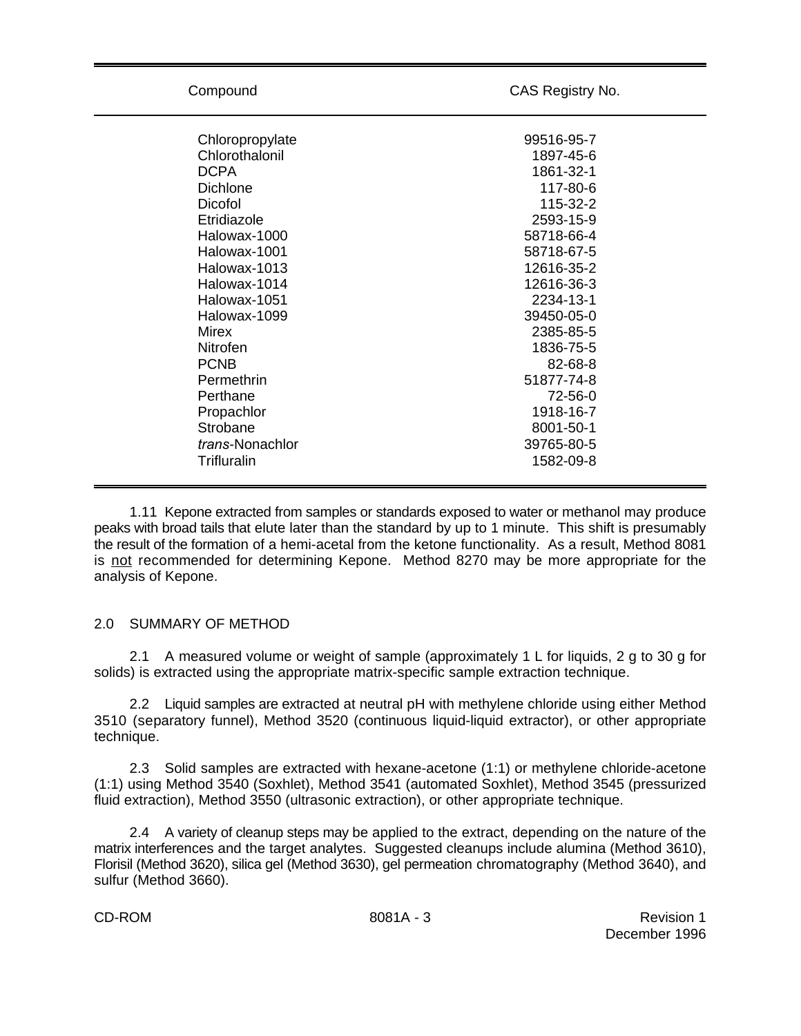Compound CAS Registry No.

| Chloropropylate         | 99516-95-7 |
|-------------------------|------------|
| Chlorothalonil          | 1897-45-6  |
| <b>DCPA</b>             | 1861-32-1  |
| Dichlone                | 117-80-6   |
| Dicofol                 | 115-32-2   |
| Etridiazole             | 2593-15-9  |
| Halowax-1000            | 58718-66-4 |
| Halowax-1001            | 58718-67-5 |
| Halowax-1013            | 12616-35-2 |
| Halowax-1014            | 12616-36-3 |
| Halowax-1051            | 2234-13-1  |
| Halowax-1099            | 39450-05-0 |
| Mirex                   | 2385-85-5  |
| Nitrofen                | 1836-75-5  |
| <b>PCNB</b>             | 82-68-8    |
| Permethrin              | 51877-74-8 |
| Perthane                | 72-56-0    |
| Propachlor              | 1918-16-7  |
| Strobane                | 8001-50-1  |
| <i>trans</i> -Nonachlor | 39765-80-5 |
| Trifluralin             | 1582-09-8  |
|                         |            |

1.11 Kepone extracted from samples or standards exposed to water or methanol may produce peaks with broad tails that elute later than the standard by up to 1 minute. This shift is presumably the result of the formation of a hemi-acetal from the ketone functionality. As a result, Method 8081 is not recommended for determining Kepone. Method 8270 may be more appropriate for the analysis of Kepone.

#### 2.0 SUMMARY OF METHOD

2.1 A measured volume or weight of sample (approximately 1 L for liquids, 2 g to 30 g for solids) is extracted using the appropriate matrix-specific sample extraction technique.

2.2 Liquid samples are extracted at neutral pH with methylene chloride using either Method 3510 (separatory funnel), Method 3520 (continuous liquid-liquid extractor), or other appropriate technique.

2.3 Solid samples are extracted with hexane-acetone (1:1) or methylene chloride-acetone (1:1) using Method 3540 (Soxhlet), Method 3541 (automated Soxhlet), Method 3545 (pressurized fluid extraction), Method 3550 (ultrasonic extraction), or other appropriate technique.

2.4 A variety of cleanup steps may be applied to the extract, depending on the nature of the matrix interferences and the target analytes. Suggested cleanups include alumina (Method 3610), Florisil (Method 3620), silica gel (Method 3630), gel permeation chromatography (Method 3640), and sulfur (Method 3660).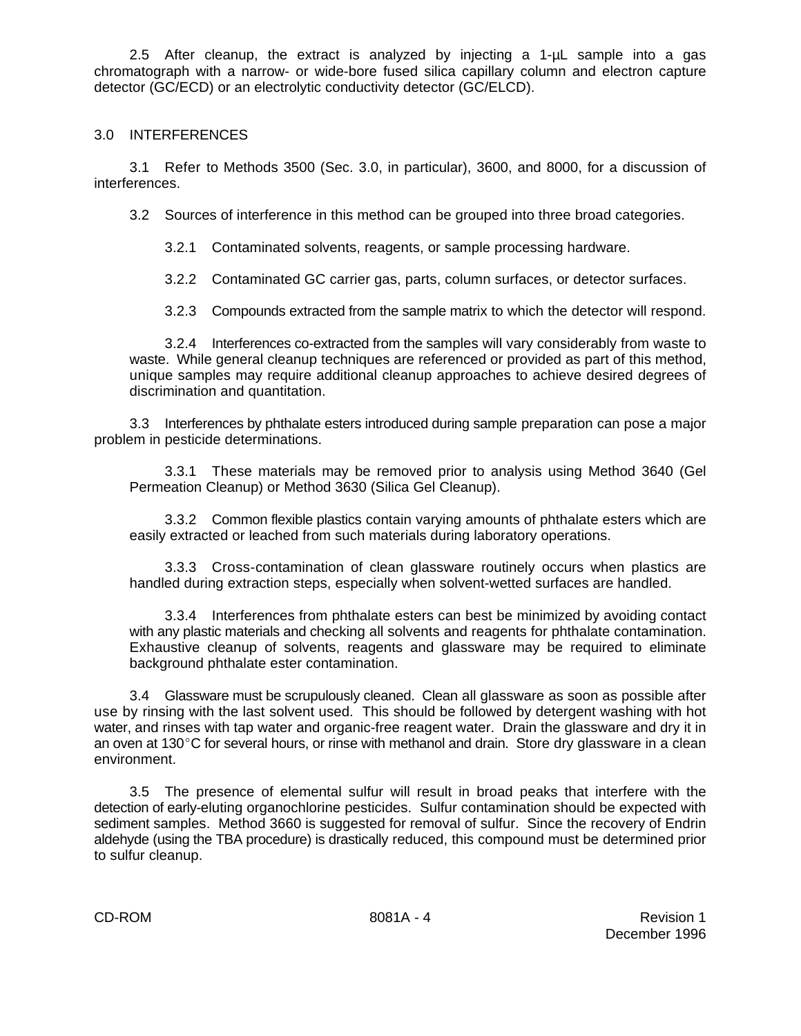2.5 After cleanup, the extract is analyzed by injecting a 1-µL sample into a gas chromatograph with a narrow- or wide-bore fused silica capillary column and electron capture detector (GC/ECD) or an electrolytic conductivity detector (GC/ELCD).

# 3.0 INTERFERENCES

3.1 Refer to Methods 3500 (Sec. 3.0, in particular), 3600, and 8000, for a discussion of interferences.

3.2 Sources of interference in this method can be grouped into three broad categories.

3.2.1 Contaminated solvents, reagents, or sample processing hardware.

3.2.2 Contaminated GC carrier gas, parts, column surfaces, or detector surfaces.

3.2.3 Compounds extracted from the sample matrix to which the detector will respond.

3.2.4 Interferences co-extracted from the samples will vary considerably from waste to waste. While general cleanup techniques are referenced or provided as part of this method, unique samples may require additional cleanup approaches to achieve desired degrees of discrimination and quantitation.

3.3 Interferences by phthalate esters introduced during sample preparation can pose a major problem in pesticide determinations.

3.3.1 These materials may be removed prior to analysis using Method 3640 (Gel Permeation Cleanup) or Method 3630 (Silica Gel Cleanup).

3.3.2 Common flexible plastics contain varying amounts of phthalate esters which are easily extracted or leached from such materials during laboratory operations.

3.3.3 Cross-contamination of clean glassware routinely occurs when plastics are handled during extraction steps, especially when solvent-wetted surfaces are handled.

3.3.4 Interferences from phthalate esters can best be minimized by avoiding contact with any plastic materials and checking all solvents and reagents for phthalate contamination. Exhaustive cleanup of solvents, reagents and glassware may be required to eliminate background phthalate ester contamination.

3.4 Glassware must be scrupulously cleaned. Clean all glassware as soon as possible after use by rinsing with the last solvent used. This should be followed by detergent washing with hot water, and rinses with tap water and organic-free reagent water. Drain the glassware and dry it in an oven at  $130^{\circ}$ C for several hours, or rinse with methanol and drain. Store dry glassware in a clean environment.

3.5 The presence of elemental sulfur will result in broad peaks that interfere with the detection of early-eluting organochlorine pesticides. Sulfur contamination should be expected with sediment samples. Method 3660 is suggested for removal of sulfur. Since the recovery of Endrin aldehyde (using the TBA procedure) is drastically reduced, this compound must be determined prior to sulfur cleanup.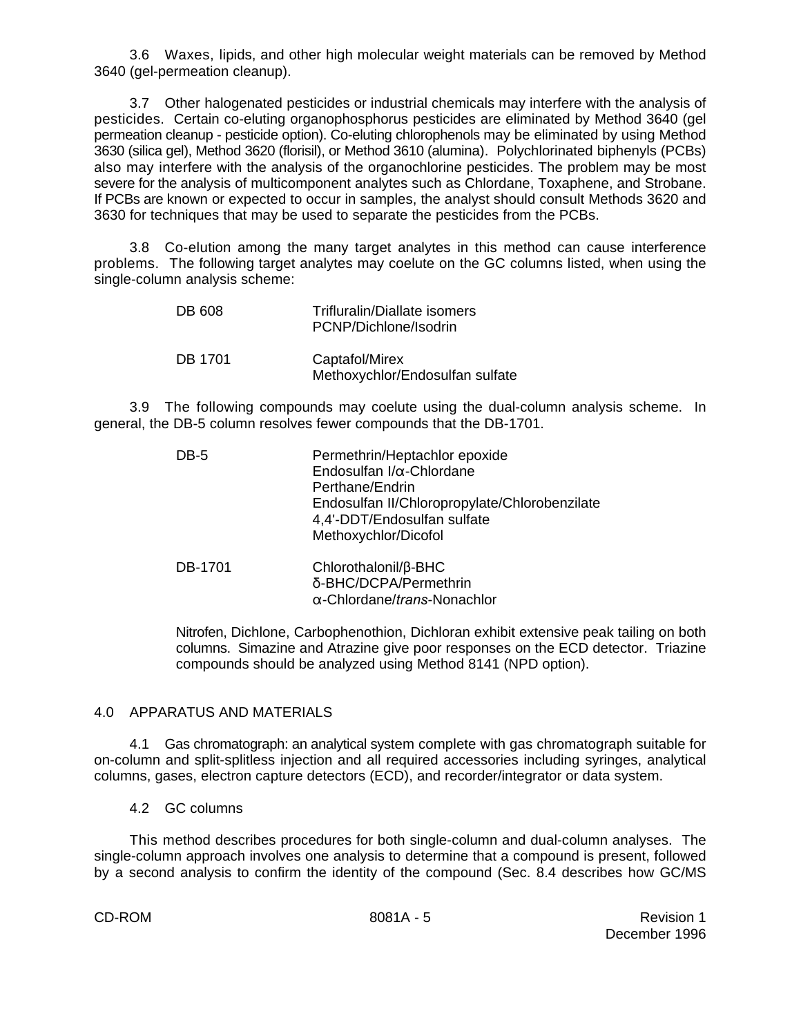3.6 Waxes, lipids, and other high molecular weight materials can be removed by Method 3640 (gel-permeation cleanup).

3.7 Other halogenated pesticides or industrial chemicals may interfere with the analysis of pesticides. Certain co-eluting organophosphorus pesticides are eliminated by Method 3640 (gel permeation cleanup - pesticide option). Co-eluting chlorophenols may be eliminated by using Method 3630 (silica gel), Method 3620 (florisil), or Method 3610 (alumina). Polychlorinated biphenyls (PCBs) also may interfere with the analysis of the organochlorine pesticides. The problem may be most severe for the analysis of multicomponent analytes such as Chlordane, Toxaphene, and Strobane. If PCBs are known or expected to occur in samples, the analyst should consult Methods 3620 and 3630 for techniques that may be used to separate the pesticides from the PCBs.

3.8 Co-elution among the many target analytes in this method can cause interference problems. The following target analytes may coelute on the GC columns listed, when using the single-column analysis scheme:

| DB 608  | Trifluralin/Diallate isomers<br>PCNP/Dichlone/Isodrin |
|---------|-------------------------------------------------------|
| DB 1701 | Captafol/Mirex<br>Methoxychlor/Endosulfan sulfate     |

3.9 The following compounds may coelute using the dual-column analysis scheme. In general, the DB-5 column resolves fewer compounds that the DB-1701.

| DB-5    | Permethrin/Heptachlor epoxide<br>Endosulfan I/ $\alpha$ -Chlordane<br>Perthane/Endrin<br>Endosulfan II/Chloropropylate/Chlorobenzilate<br>4,4'-DDT/Endosulfan sulfate<br>Methoxychlor/Dicofol |
|---------|-----------------------------------------------------------------------------------------------------------------------------------------------------------------------------------------------|
| DB-1701 | Chlorothalonil/ $\beta$ -BHC<br>δ-BHC/DCPA/Permethrin<br>$\alpha$ -Chlordane/trans-Nonachlor                                                                                                  |

Nitrofen, Dichlone, Carbophenothion, Dichloran exhibit extensive peak tailing on both columns. Simazine and Atrazine give poor responses on the ECD detector. Triazine compounds should be analyzed using Method 8141 (NPD option).

# 4.0 APPARATUS AND MATERIALS

4.1 Gas chromatograph: an analytical system complete with gas chromatograph suitable for on-column and split-splitless injection and all required accessories including syringes, analytical columns, gases, electron capture detectors (ECD), and recorder/integrator or data system.

4.2 GC columns

This method describes procedures for both single-column and dual-column analyses. The single-column approach involves one analysis to determine that a compound is present, followed by a second analysis to confirm the identity of the compound (Sec. 8.4 describes how GC/MS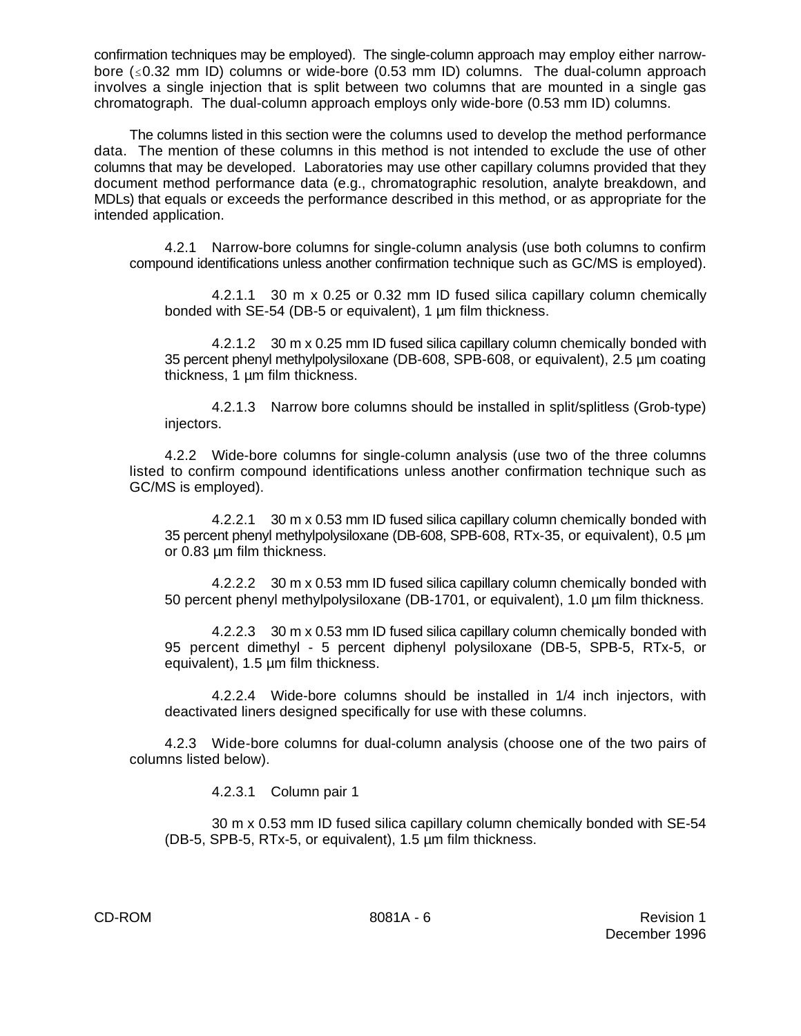confirmation techniques may be employed). The single-column approach may employ either narrowbore  $(\leq 0.32$  mm ID) columns or wide-bore (0.53 mm ID) columns. The dual-column approach involves a single injection that is split between two columns that are mounted in a single gas chromatograph. The dual-column approach employs only wide-bore (0.53 mm ID) columns.

The columns listed in this section were the columns used to develop the method performance data. The mention of these columns in this method is not intended to exclude the use of other columns that may be developed. Laboratories may use other capillary columns provided that they document method performance data (e.g., chromatographic resolution, analyte breakdown, and MDLs) that equals or exceeds the performance described in this method, or as appropriate for the intended application.

4.2.1 Narrow-bore columns for single-column analysis (use both columns to confirm compound identifications unless another confirmation technique such as GC/MS is employed).

4.2.1.1 30 m x 0.25 or 0.32 mm ID fused silica capillary column chemically bonded with SE-54 (DB-5 or equivalent), 1 µm film thickness.

4.2.1.2 30 m x 0.25 mm ID fused silica capillary column chemically bonded with 35 percent phenyl methylpolysiloxane (DB-608, SPB-608, or equivalent), 2.5 µm coating thickness, 1 µm film thickness.

4.2.1.3 Narrow bore columns should be installed in split/splitless (Grob-type) injectors.

4.2.2 Wide-bore columns for single-column analysis (use two of the three columns listed to confirm compound identifications unless another confirmation technique such as GC/MS is employed).

4.2.2.1 30 m x 0.53 mm ID fused silica capillary column chemically bonded with 35 percent phenyl methylpolysiloxane (DB-608, SPB-608, RTx-35, or equivalent), 0.5 µm or 0.83 µm film thickness.

4.2.2.2 30 m x 0.53 mm ID fused silica capillary column chemically bonded with 50 percent phenyl methylpolysiloxane (DB-1701, or equivalent), 1.0 µm film thickness.

4.2.2.3 30 m x 0.53 mm ID fused silica capillary column chemically bonded with 95 percent dimethyl - 5 percent diphenyl polysiloxane (DB-5, SPB-5, RTx-5, or equivalent), 1.5 µm film thickness.

4.2.2.4 Wide-bore columns should be installed in 1/4 inch injectors, with deactivated liners designed specifically for use with these columns.

4.2.3 Wide-bore columns for dual-column analysis (choose one of the two pairs of columns listed below).

4.2.3.1 Column pair 1

30 m x 0.53 mm ID fused silica capillary column chemically bonded with SE-54 (DB-5, SPB-5, RTx-5, or equivalent), 1.5 µm film thickness.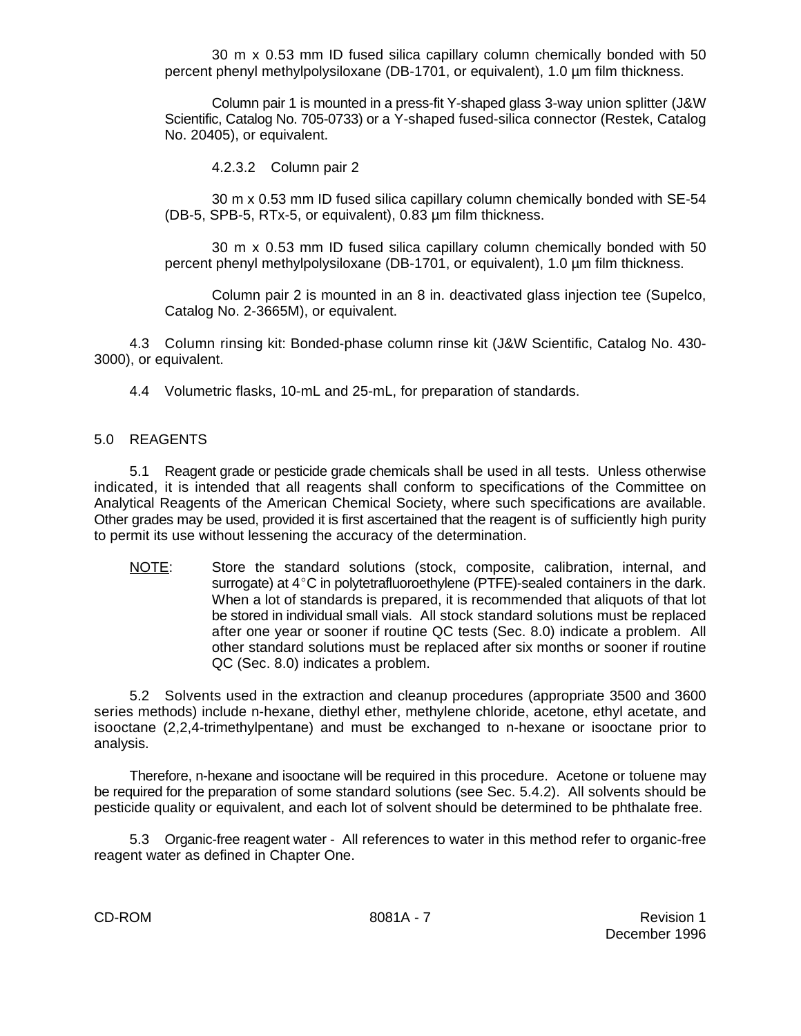30 m x 0.53 mm ID fused silica capillary column chemically bonded with 50 percent phenyl methylpolysiloxane (DB-1701, or equivalent), 1.0 µm film thickness.

Column pair 1 is mounted in a press-fit Y-shaped glass 3-way union splitter (J&W Scientific, Catalog No. 705-0733) or a Y-shaped fused-silica connector (Restek, Catalog No. 20405), or equivalent.

4.2.3.2 Column pair 2

30 m x 0.53 mm ID fused silica capillary column chemically bonded with SE-54 (DB-5, SPB-5, RTx-5, or equivalent), 0.83 µm film thickness.

30 m x 0.53 mm ID fused silica capillary column chemically bonded with 50 percent phenyl methylpolysiloxane (DB-1701, or equivalent), 1.0 µm film thickness.

Column pair 2 is mounted in an 8 in. deactivated glass injection tee (Supelco, Catalog No. 2-3665M), or equivalent.

4.3 Column rinsing kit: Bonded-phase column rinse kit (J&W Scientific, Catalog No. 430- 3000), or equivalent.

4.4 Volumetric flasks, 10-mL and 25-mL, for preparation of standards.

## 5.0 REAGENTS

5.1 Reagent grade or pesticide grade chemicals shall be used in all tests. Unless otherwise indicated, it is intended that all reagents shall conform to specifications of the Committee on Analytical Reagents of the American Chemical Society, where such specifications are available. Other grades may be used, provided it is first ascertained that the reagent is of sufficiently high purity to permit its use without lessening the accuracy of the determination.

NOTE: Store the standard solutions (stock, composite, calibration, internal, and surrogate) at  $4^{\circ}$ C in polytetrafluoroethylene (PTFE)-sealed containers in the dark. When a lot of standards is prepared, it is recommended that aliquots of that lot be stored in individual small vials. All stock standard solutions must be replaced after one year or sooner if routine QC tests (Sec. 8.0) indicate a problem. All other standard solutions must be replaced after six months or sooner if routine QC (Sec. 8.0) indicates a problem.

5.2 Solvents used in the extraction and cleanup procedures (appropriate 3500 and 3600 series methods) include n-hexane, diethyl ether, methylene chloride, acetone, ethyl acetate, and isooctane (2,2,4-trimethylpentane) and must be exchanged to n-hexane or isooctane prior to analysis.

Therefore, n-hexane and isooctane will be required in this procedure. Acetone or toluene may be required for the preparation of some standard solutions (see Sec. 5.4.2). All solvents should be pesticide quality or equivalent, and each lot of solvent should be determined to be phthalate free.

5.3 Organic-free reagent water - All references to water in this method refer to organic-free reagent water as defined in Chapter One.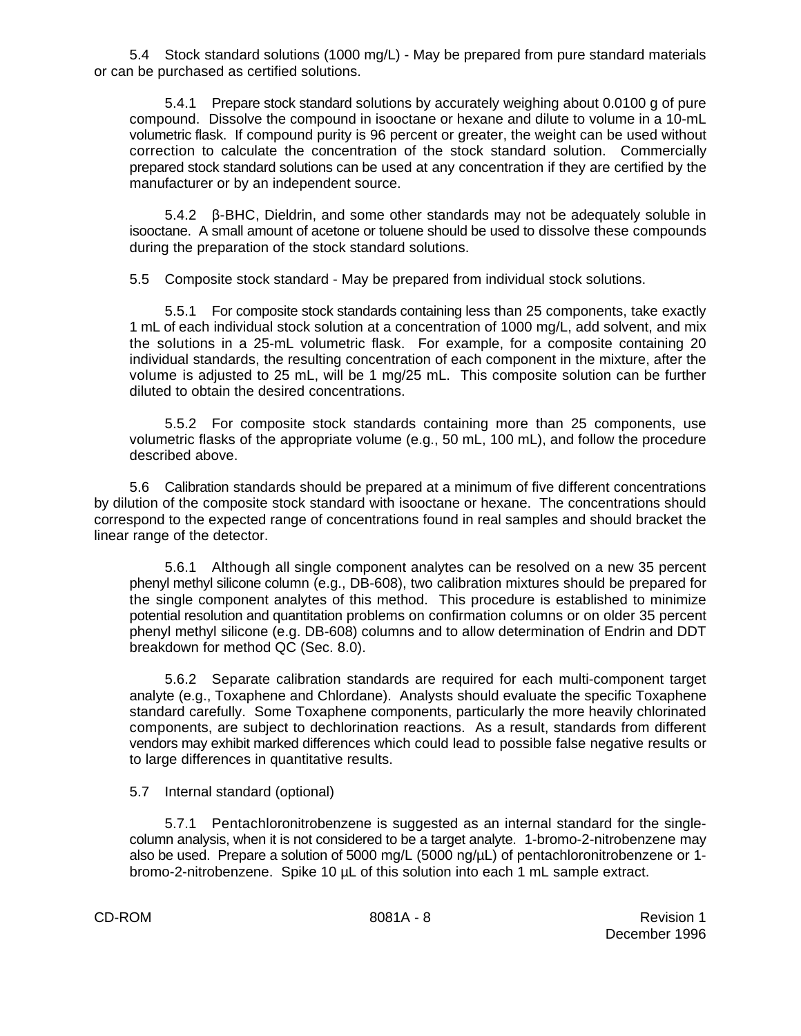5.4 Stock standard solutions (1000 mg/L) - May be prepared from pure standard materials or can be purchased as certified solutions.

5.4.1 Prepare stock standard solutions by accurately weighing about 0.0100 g of pure compound. Dissolve the compound in isooctane or hexane and dilute to volume in a 10-mL volumetric flask. If compound purity is 96 percent or greater, the weight can be used without correction to calculate the concentration of the stock standard solution. Commercially prepared stock standard solutions can be used at any concentration if they are certified by the manufacturer or by an independent source.

 $5.4.2$   $\beta$ -BHC, Dieldrin, and some other standards may not be adequately soluble in isooctane. A small amount of acetone or toluene should be used to dissolve these compounds during the preparation of the stock standard solutions.

5.5 Composite stock standard - May be prepared from individual stock solutions.

5.5.1 For composite stock standards containing less than 25 components, take exactly 1 mL of each individual stock solution at a concentration of 1000 mg/L, add solvent, and mix the solutions in a 25-mL volumetric flask. For example, for a composite containing 20 individual standards, the resulting concentration of each component in the mixture, after the volume is adjusted to 25 mL, will be 1 mg/25 mL. This composite solution can be further diluted to obtain the desired concentrations.

5.5.2 For composite stock standards containing more than 25 components, use volumetric flasks of the appropriate volume (e.g., 50 mL, 100 mL), and follow the procedure described above.

5.6 Calibration standards should be prepared at a minimum of five different concentrations by dilution of the composite stock standard with isooctane or hexane. The concentrations should correspond to the expected range of concentrations found in real samples and should bracket the linear range of the detector.

5.6.1 Although all single component analytes can be resolved on a new 35 percent phenyl methyl silicone column (e.g., DB-608), two calibration mixtures should be prepared for the single component analytes of this method. This procedure is established to minimize potential resolution and quantitation problems on confirmation columns or on older 35 percent phenyl methyl silicone (e.g. DB-608) columns and to allow determination of Endrin and DDT breakdown for method QC (Sec. 8.0).

5.6.2 Separate calibration standards are required for each multi-component target analyte (e.g., Toxaphene and Chlordane). Analysts should evaluate the specific Toxaphene standard carefully. Some Toxaphene components, particularly the more heavily chlorinated components, are subject to dechlorination reactions. As a result, standards from different vendors may exhibit marked differences which could lead to possible false negative results or to large differences in quantitative results.

5.7 Internal standard (optional)

5.7.1 Pentachloronitrobenzene is suggested as an internal standard for the singlecolumn analysis, when it is not considered to be a target analyte. 1-bromo-2-nitrobenzene may also be used. Prepare a solution of 5000 mg/L (5000 ng/µL) of pentachloronitrobenzene or 1 bromo-2-nitrobenzene. Spike 10 µL of this solution into each 1 mL sample extract.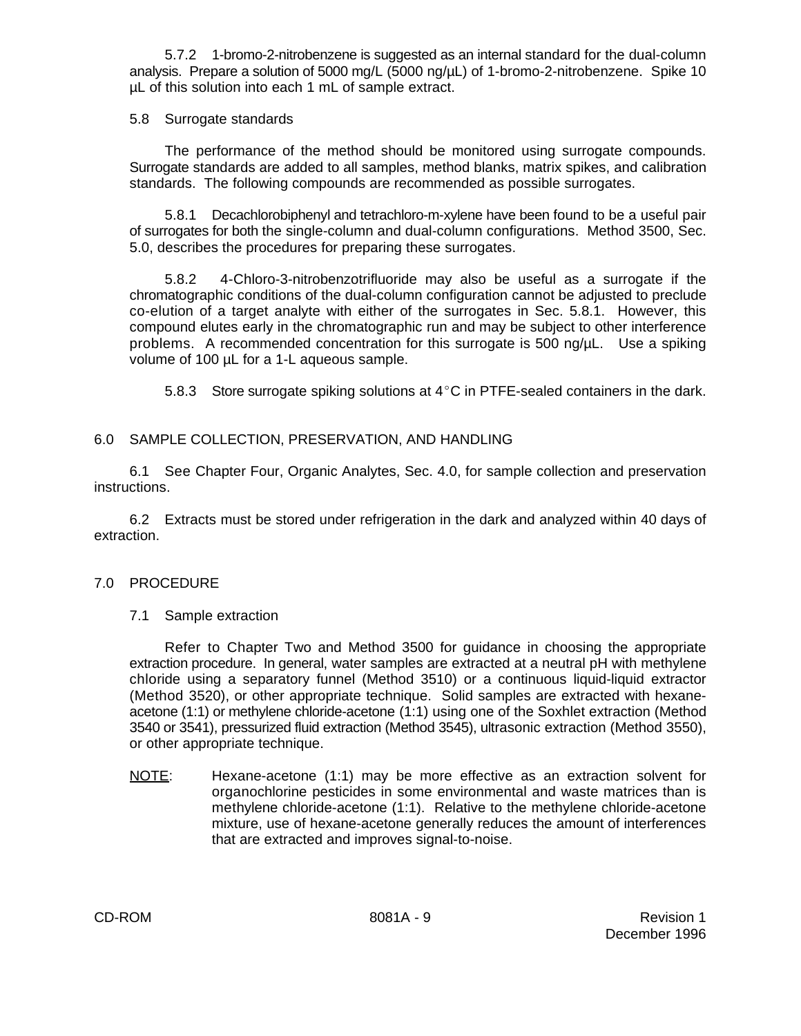5.7.2 1-bromo-2-nitrobenzene is suggested as an internal standard for the dual-column analysis. Prepare a solution of 5000 mg/L (5000 ng/µL) of 1-bromo-2-nitrobenzene. Spike 10 µL of this solution into each 1 mL of sample extract.

## 5.8 Surrogate standards

The performance of the method should be monitored using surrogate compounds. Surrogate standards are added to all samples, method blanks, matrix spikes, and calibration standards. The following compounds are recommended as possible surrogates.

5.8.1 Decachlorobiphenyl and tetrachloro-m-xylene have been found to be a useful pair of surrogates for both the single-column and dual-column configurations. Method 3500, Sec. 5.0, describes the procedures for preparing these surrogates.

5.8.2 4-Chloro-3-nitrobenzotrifluoride may also be useful as a surrogate if the chromatographic conditions of the dual-column configuration cannot be adjusted to preclude co-elution of a target analyte with either of the surrogates in Sec. 5.8.1. However, this compound elutes early in the chromatographic run and may be subject to other interference problems. A recommended concentration for this surrogate is 500 ng/µL. Use a spiking volume of 100 µL for a 1-L aqueous sample.

5.8.3 Store surrogate spiking solutions at  $4^{\circ}$ C in PTFE-sealed containers in the dark.

# 6.0 SAMPLE COLLECTION, PRESERVATION, AND HANDLING

6.1 See Chapter Four, Organic Analytes, Sec. 4.0, for sample collection and preservation instructions.

6.2 Extracts must be stored under refrigeration in the dark and analyzed within 40 days of extraction.

# 7.0 PROCEDURE

# 7.1 Sample extraction

Refer to Chapter Two and Method 3500 for guidance in choosing the appropriate extraction procedure. In general, water samples are extracted at a neutral pH with methylene chloride using a separatory funnel (Method 3510) or a continuous liquid-liquid extractor (Method 3520), or other appropriate technique. Solid samples are extracted with hexaneacetone (1:1) or methylene chloride-acetone (1:1) using one of the Soxhlet extraction (Method 3540 or 3541), pressurized fluid extraction (Method 3545), ultrasonic extraction (Method 3550), or other appropriate technique.

NOTE: Hexane-acetone (1:1) may be more effective as an extraction solvent for organochlorine pesticides in some environmental and waste matrices than is methylene chloride-acetone (1:1). Relative to the methylene chloride-acetone mixture, use of hexane-acetone generally reduces the amount of interferences that are extracted and improves signal-to-noise.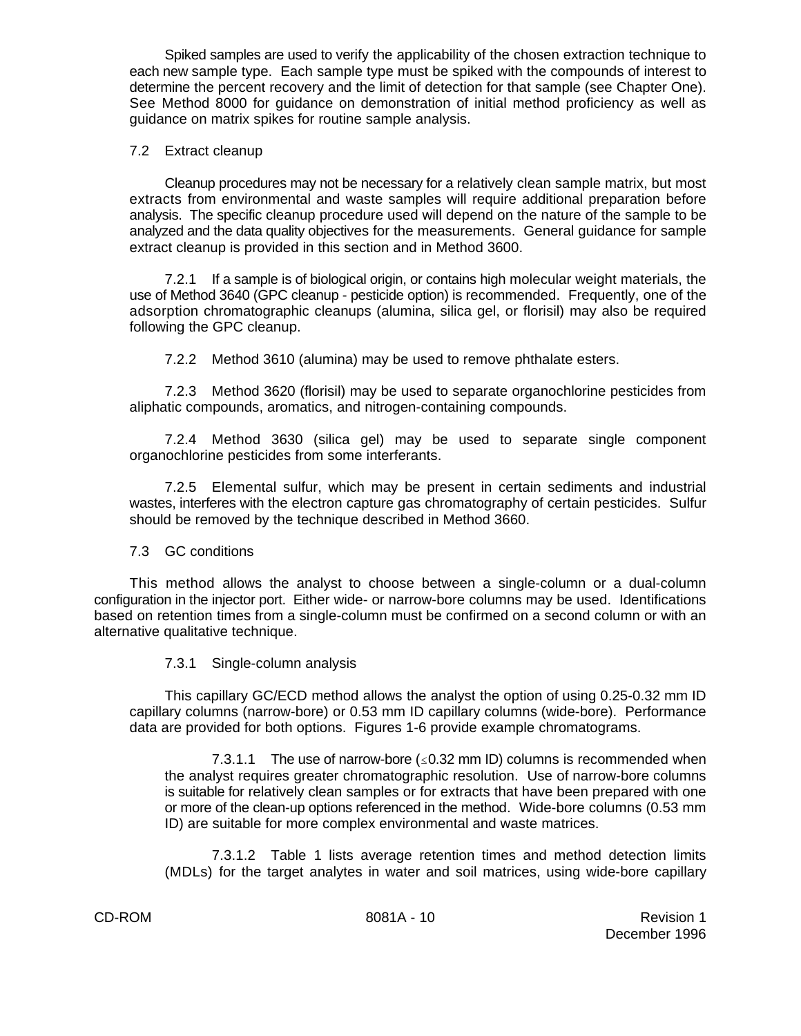Spiked samples are used to verify the applicability of the chosen extraction technique to each new sample type. Each sample type must be spiked with the compounds of interest to determine the percent recovery and the limit of detection for that sample (see Chapter One). See Method 8000 for guidance on demonstration of initial method proficiency as well as guidance on matrix spikes for routine sample analysis.

## 7.2 Extract cleanup

Cleanup procedures may not be necessary for a relatively clean sample matrix, but most extracts from environmental and waste samples will require additional preparation before analysis. The specific cleanup procedure used will depend on the nature of the sample to be analyzed and the data quality objectives for the measurements. General guidance for sample extract cleanup is provided in this section and in Method 3600.

7.2.1 If a sample is of biological origin, or contains high molecular weight materials, the use of Method 3640 (GPC cleanup - pesticide option) is recommended. Frequently, one of the adsorption chromatographic cleanups (alumina, silica gel, or florisil) may also be required following the GPC cleanup.

7.2.2 Method 3610 (alumina) may be used to remove phthalate esters.

7.2.3 Method 3620 (florisil) may be used to separate organochlorine pesticides from aliphatic compounds, aromatics, and nitrogen-containing compounds.

7.2.4 Method 3630 (silica gel) may be used to separate single component organochlorine pesticides from some interferants.

7.2.5 Elemental sulfur, which may be present in certain sediments and industrial wastes, interferes with the electron capture gas chromatography of certain pesticides. Sulfur should be removed by the technique described in Method 3660.

#### 7.3 GC conditions

This method allows the analyst to choose between a single-column or a dual-column configuration in the injector port. Either wide- or narrow-bore columns may be used. Identifications based on retention times from a single-column must be confirmed on a second column or with an alternative qualitative technique.

# 7.3.1 Single-column analysis

This capillary GC/ECD method allows the analyst the option of using 0.25-0.32 mm ID capillary columns (narrow-bore) or 0.53 mm ID capillary columns (wide-bore). Performance data are provided for both options. Figures 1-6 provide example chromatograms.

7.3.1.1 The use of narrow-bore  $(\leq 0.32$  mm ID) columns is recommended when the analyst requires greater chromatographic resolution. Use of narrow-bore columns is suitable for relatively clean samples or for extracts that have been prepared with one or more of the clean-up options referenced in the method. Wide-bore columns (0.53 mm ID) are suitable for more complex environmental and waste matrices.

7.3.1.2 Table 1 lists average retention times and method detection limits (MDLs) for the target analytes in water and soil matrices, using wide-bore capillary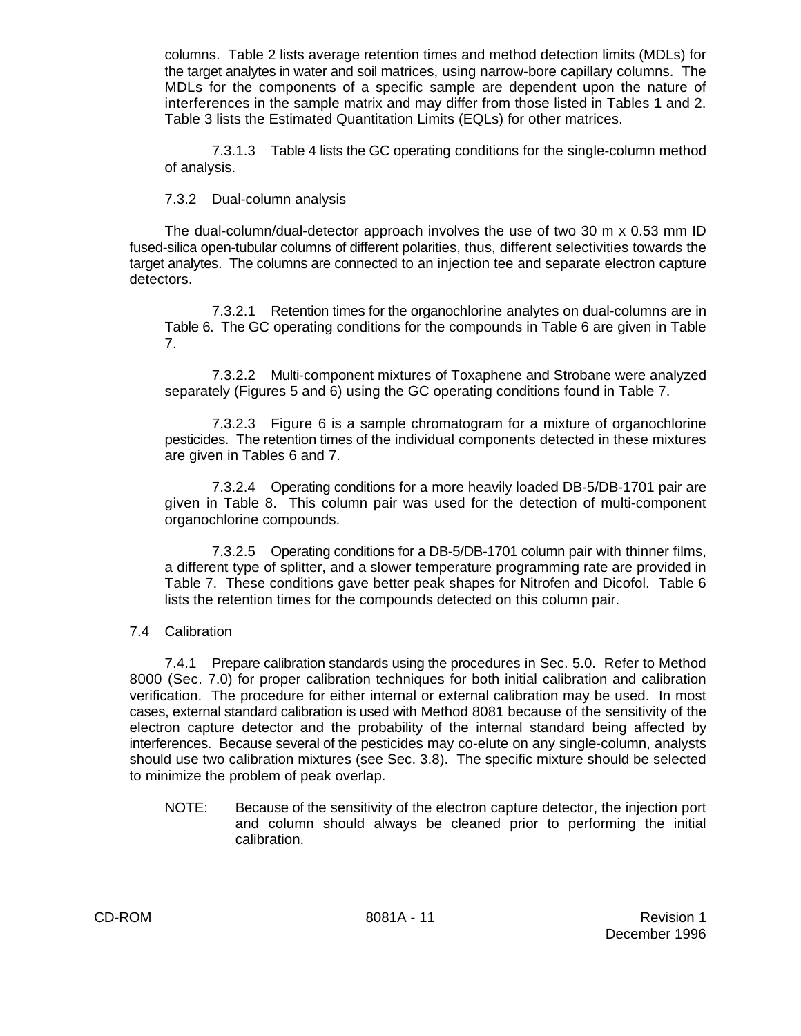columns. Table 2 lists average retention times and method detection limits (MDLs) for the target analytes in water and soil matrices, using narrow-bore capillary columns. The MDLs for the components of a specific sample are dependent upon the nature of interferences in the sample matrix and may differ from those listed in Tables 1 and 2. Table 3 lists the Estimated Quantitation Limits (EQLs) for other matrices.

7.3.1.3 Table 4 lists the GC operating conditions for the single-column method of analysis.

7.3.2 Dual-column analysis

The dual-column/dual-detector approach involves the use of two 30 m x 0.53 mm ID fused-silica open-tubular columns of different polarities, thus, different selectivities towards the target analytes. The columns are connected to an injection tee and separate electron capture detectors.

7.3.2.1 Retention times for the organochlorine analytes on dual-columns are in Table 6. The GC operating conditions for the compounds in Table 6 are given in Table 7.

7.3.2.2 Multi-component mixtures of Toxaphene and Strobane were analyzed separately (Figures 5 and 6) using the GC operating conditions found in Table 7.

7.3.2.3 Figure 6 is a sample chromatogram for a mixture of organochlorine pesticides. The retention times of the individual components detected in these mixtures are given in Tables 6 and 7.

7.3.2.4 Operating conditions for a more heavily loaded DB-5/DB-1701 pair are given in Table 8. This column pair was used for the detection of multi-component organochlorine compounds.

7.3.2.5 Operating conditions for a DB-5/DB-1701 column pair with thinner films, a different type of splitter, and a slower temperature programming rate are provided in Table 7. These conditions gave better peak shapes for Nitrofen and Dicofol. Table 6 lists the retention times for the compounds detected on this column pair.

# 7.4 Calibration

7.4.1 Prepare calibration standards using the procedures in Sec. 5.0. Refer to Method 8000 (Sec. 7.0) for proper calibration techniques for both initial calibration and calibration verification. The procedure for either internal or external calibration may be used. In most cases, external standard calibration is used with Method 8081 because of the sensitivity of the electron capture detector and the probability of the internal standard being affected by interferences. Because several of the pesticides may co-elute on any single-column, analysts should use two calibration mixtures (see Sec. 3.8). The specific mixture should be selected to minimize the problem of peak overlap.

NOTE: Because of the sensitivity of the electron capture detector, the injection port and column should always be cleaned prior to performing the initial calibration.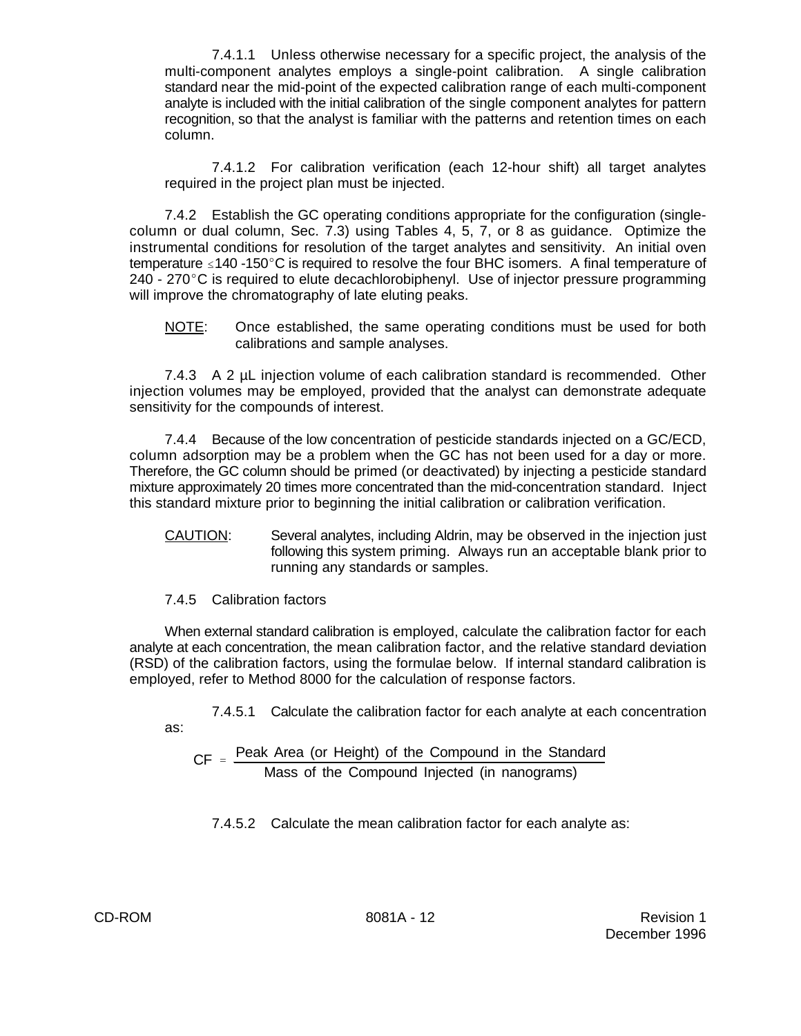7.4.1.1 Unless otherwise necessary for a specific project, the analysis of the multi-component analytes employs a single-point calibration. A single calibration standard near the mid-point of the expected calibration range of each multi-component analyte is included with the initial calibration of the single component analytes for pattern recognition, so that the analyst is familiar with the patterns and retention times on each column.

7.4.1.2 For calibration verification (each 12-hour shift) all target analytes required in the project plan must be injected.

7.4.2 Establish the GC operating conditions appropriate for the configuration (singlecolumn or dual column, Sec. 7.3) using Tables 4, 5, 7, or 8 as guidance. Optimize the instrumental conditions for resolution of the target analytes and sensitivity. An initial oven temperature  $\leq$  140 -150°C is required to resolve the four BHC isomers. A final temperature of  $240 - 270^{\circ}$ C is required to elute decachlorobiphenyl. Use of injector pressure programming will improve the chromatography of late eluting peaks.

NOTE: Once established, the same operating conditions must be used for both calibrations and sample analyses.

7.4.3 A 2 µL injection volume of each calibration standard is recommended. Other injection volumes may be employed, provided that the analyst can demonstrate adequate sensitivity for the compounds of interest.

7.4.4 Because of the low concentration of pesticide standards injected on a GC/ECD, column adsorption may be a problem when the GC has not been used for a day or more. Therefore, the GC column should be primed (or deactivated) by injecting a pesticide standard mixture approximately 20 times more concentrated than the mid-concentration standard. Inject this standard mixture prior to beginning the initial calibration or calibration verification.

- CAUTION: Several analytes, including Aldrin, may be observed in the injection just following this system priming. Always run an acceptable blank prior to running any standards or samples.
- 7.4.5 Calibration factors

When external standard calibration is employed, calculate the calibration factor for each analyte at each concentration, the mean calibration factor, and the relative standard deviation (RSD) of the calibration factors, using the formulae below. If internal standard calibration is employed, refer to Method 8000 for the calculation of response factors.

7.4.5.1 Calculate the calibration factor for each analyte at each concentration as:

 $CF = \frac{Peak Area (or Height) of the Compound in the Standard$ Mass of the Compound Injected (in nanograms)

7.4.5.2 Calculate the mean calibration factor for each analyte as: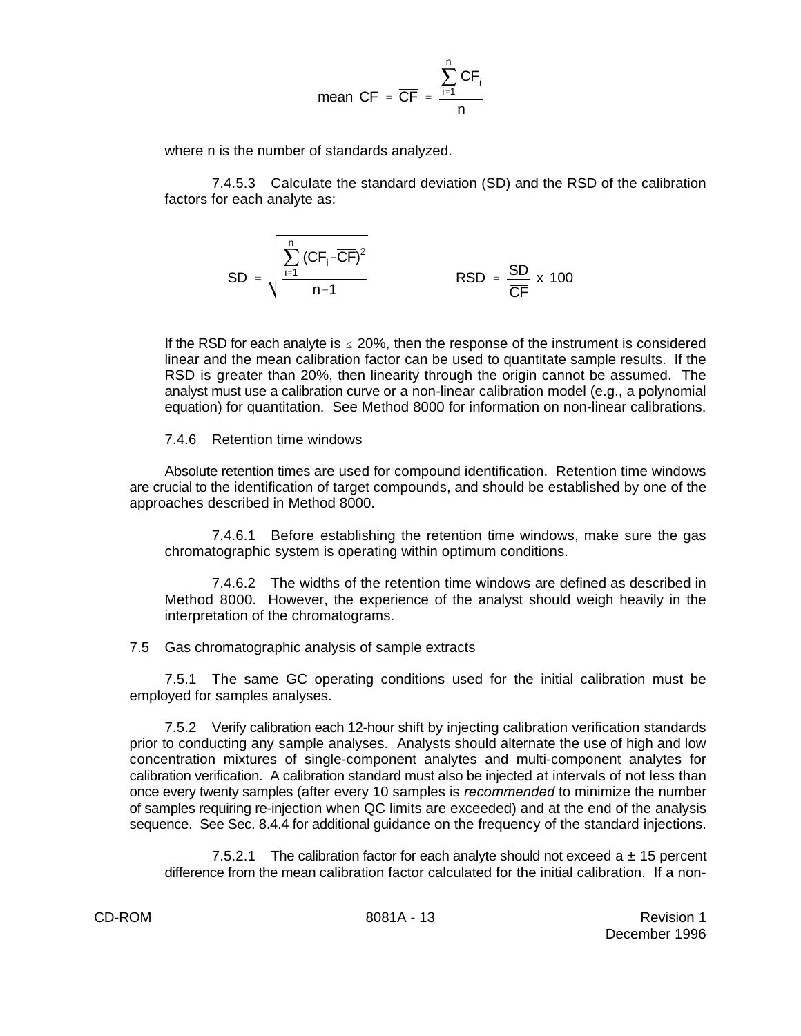$$
\text{mean } CF = \frac{\sum_{i=1}^{n} CF_i}{n}
$$

where n is the number of standards analyzed.

7.4.5.3 Calculate the standard deviation (SD) and the RSD of the calibration factors for each analyte as:

$$
SD = \sqrt{\frac{\sum_{i=1}^{n} (CF_i - \overline{CF})^2}{n-1}}
$$
 RSD =  $\frac{SD}{\overline{CF}} \times 100$ 

If the RSD for each analyte is  $\leq 20\%$ , then the response of the instrument is considered linear and the mean calibration factor can be used to quantitate sample results. If the RSD is greater than 20%, then linearity through the origin cannot be assumed. The analyst must use a calibration curve or a non-linear calibration model (e.g., a polynomial equation) for quantitation. See Method 8000 for information on non-linear calibrations.

#### 7.4.6 Retention time windows

Absolute retention times are used for compound identification. Retention time windows are crucial to the identification of target compounds, and should be established by one of the approaches described in Method 8000.

7.4.6.1 Before establishing the retention time windows, make sure the gas chromatographic system is operating within optimum conditions.

7.4.6.2 The widths of the retention time windows are defined as described in Method 8000. However, the experience of the analyst should weigh heavily in the interpretation of the chromatograms.

7.5 Gas chromatographic analysis of sample extracts

7.5.1 The same GC operating conditions used for the initial calibration must be employed for samples analyses.

7.5.2 Verify calibration each 12-hour shift by injecting calibration verification standards prior to conducting any sample analyses. Analysts should alternate the use of high and low concentration mixtures of single-component analytes and multi-component analytes for calibration verification. A calibration standard must also be injected at intervals of not less than once every twenty samples (after every 10 samples is *recommended* to minimize the number of samples requiring re-injection when QC limits are exceeded) and at the end of the analysis sequence. See Sec. 8.4.4 for additional guidance on the frequency of the standard injections.

7.5.2.1 The calibration factor for each analyte should not exceed  $a \pm 15$  percent difference from the mean calibration factor calculated for the initial calibration. If a non-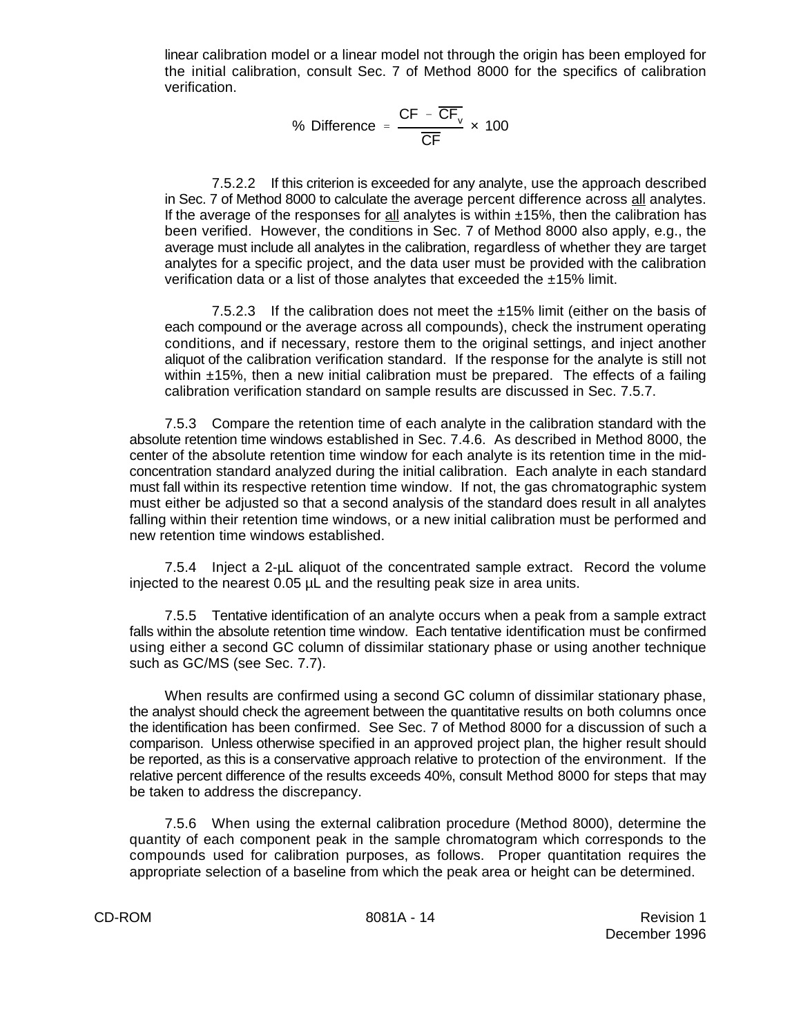linear calibration model or a linear model not through the origin has been employed for the initial calibration, consult Sec. 7 of Method 8000 for the specifics of calibration verification.

% Difference = 
$$
\frac{\text{CF} - \overline{\text{CF}}_{v}}{\overline{\text{CF}}} \times 100
$$

7.5.2.2 If this criterion is exceeded for any analyte, use the approach described in Sec. 7 of Method 8000 to calculate the average percent difference across all analytes. If the average of the responses for  $all$  analytes is within  $±15%$ , then the calibration has been verified. However, the conditions in Sec. 7 of Method 8000 also apply, e.g., the average must include all analytes in the calibration, regardless of whether they are target analytes for a specific project, and the data user must be provided with the calibration verification data or a list of those analytes that exceeded the ±15% limit.

7.5.2.3 If the calibration does not meet the  $\pm 15\%$  limit (either on the basis of each compound or the average across all compounds), check the instrument operating conditions, and if necessary, restore them to the original settings, and inject another aliquot of the calibration verification standard. If the response for the analyte is still not within  $±15%$ , then a new initial calibration must be prepared. The effects of a failing calibration verification standard on sample results are discussed in Sec. 7.5.7.

7.5.3 Compare the retention time of each analyte in the calibration standard with the absolute retention time windows established in Sec. 7.4.6. As described in Method 8000, the center of the absolute retention time window for each analyte is its retention time in the midconcentration standard analyzed during the initial calibration. Each analyte in each standard must fall within its respective retention time window. If not, the gas chromatographic system must either be adjusted so that a second analysis of the standard does result in all analytes falling within their retention time windows, or a new initial calibration must be performed and new retention time windows established.

7.5.4 Inject a 2-µL aliquot of the concentrated sample extract. Record the volume injected to the nearest 0.05 µL and the resulting peak size in area units.

7.5.5 Tentative identification of an analyte occurs when a peak from a sample extract falls within the absolute retention time window. Each tentative identification must be confirmed using either a second GC column of dissimilar stationary phase or using another technique such as GC/MS (see Sec. 7.7).

When results are confirmed using a second GC column of dissimilar stationary phase, the analyst should check the agreement between the quantitative results on both columns once the identification has been confirmed. See Sec. 7 of Method 8000 for a discussion of such a comparison. Unless otherwise specified in an approved project plan, the higher result should be reported, as this is a conservative approach relative to protection of the environment. If the relative percent difference of the results exceeds 40%, consult Method 8000 for steps that may be taken to address the discrepancy.

7.5.6 When using the external calibration procedure (Method 8000), determine the quantity of each component peak in the sample chromatogram which corresponds to the compounds used for calibration purposes, as follows. Proper quantitation requires the appropriate selection of a baseline from which the peak area or height can be determined.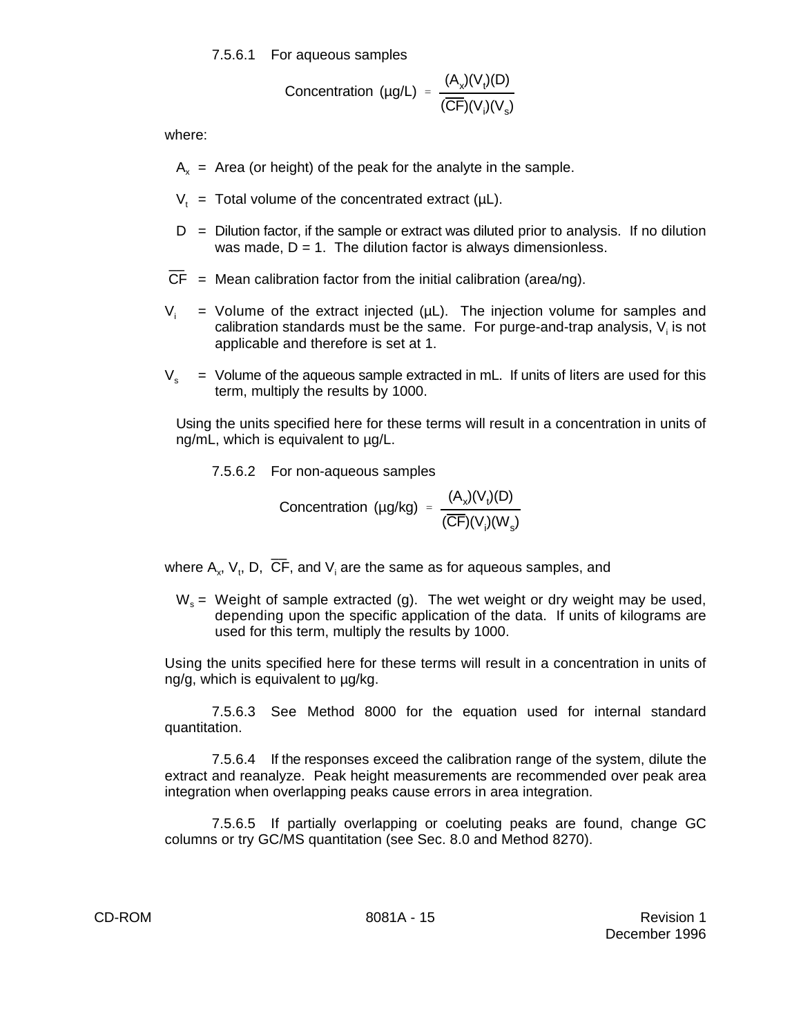7.5.6.1 For aqueous samples

Concentration (µg/L) = 
$$
\frac{(A_x)(V_t)(D)}{(\overline{CF})(V_i)(V_s)}
$$

where:

- $A<sub>x</sub>$  = Area (or height) of the peak for the analyte in the sample.
- $V_+$  = Total volume of the concentrated extract ( $\mu$ L).
- $D =$  Dilution factor, if the sample or extract was diluted prior to analysis. If no dilution was made,  $D = 1$ . The dilution factor is always dimensionless.
- $\overline{CF}$  = Mean calibration factor from the initial calibration (area/ng).
- $V_i$  = Volume of the extract injected ( $\mu$ L). The injection volume for samples and calibration standards must be the same. For purge-and-trap analysis,  $V_i$  is not applicable and therefore is set at 1.
- $V_s$  = Volume of the aqueous sample extracted in mL. If units of liters are used for this term, multiply the results by 1000.

Using the units specified here for these terms will result in a concentration in units of ng/mL, which is equivalent to  $\mu$ g/L.

7.5.6.2 For non-aqueous samples

Concentration (µg/kg) = 
$$
\frac{(A_x)(V_t)(D)}{(\overline{CF})(V_t)(W_s)}
$$

where  $\mathsf{A}_x$ ,  $\mathsf{V}_t$ , D,  $\overline{\mathsf{CF}}$ , and  $\mathsf{V}_i$  are the same as for aqueous samples, and

 $W<sub>s</sub>$  = Weight of sample extracted (g). The wet weight or dry weight may be used, depending upon the specific application of the data. If units of kilograms are used for this term, multiply the results by 1000.

Using the units specified here for these terms will result in a concentration in units of ng/g, which is equivalent to µg/kg.

7.5.6.3 See Method 8000 for the equation used for internal standard quantitation.

7.5.6.4 If the responses exceed the calibration range of the system, dilute the extract and reanalyze. Peak height measurements are recommended over peak area integration when overlapping peaks cause errors in area integration.

7.5.6.5 If partially overlapping or coeluting peaks are found, change GC columns or try GC/MS quantitation (see Sec. 8.0 and Method 8270).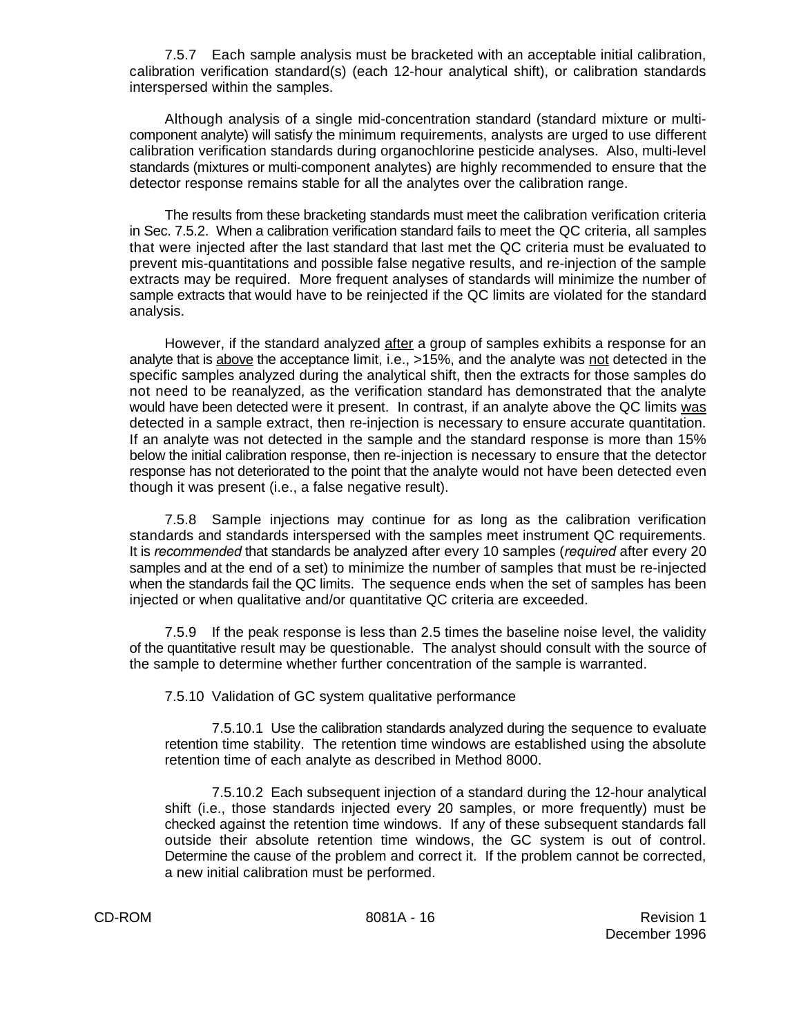7.5.7 Each sample analysis must be bracketed with an acceptable initial calibration, calibration verification standard(s) (each 12-hour analytical shift), or calibration standards interspersed within the samples.

Although analysis of a single mid-concentration standard (standard mixture or multicomponent analyte) will satisfy the minimum requirements, analysts are urged to use different calibration verification standards during organochlorine pesticide analyses. Also, multi-level standards (mixtures or multi-component analytes) are highly recommended to ensure that the detector response remains stable for all the analytes over the calibration range.

The results from these bracketing standards must meet the calibration verification criteria in Sec. 7.5.2. When a calibration verification standard fails to meet the QC criteria, all samples that were injected after the last standard that last met the QC criteria must be evaluated to prevent mis-quantitations and possible false negative results, and re-injection of the sample extracts may be required. More frequent analyses of standards will minimize the number of sample extracts that would have to be reinjected if the QC limits are violated for the standard analysis.

However, if the standard analyzed after a group of samples exhibits a response for an analyte that is above the acceptance limit, i.e., >15%, and the analyte was not detected in the specific samples analyzed during the analytical shift, then the extracts for those samples do not need to be reanalyzed, as the verification standard has demonstrated that the analyte would have been detected were it present. In contrast, if an analyte above the QC limits was detected in a sample extract, then re-injection is necessary to ensure accurate quantitation. If an analyte was not detected in the sample and the standard response is more than 15% below the initial calibration response, then re-injection is necessary to ensure that the detector response has not deteriorated to the point that the analyte would not have been detected even though it was present (i.e., a false negative result).

7.5.8 Sample injections may continue for as long as the calibration verification standards and standards interspersed with the samples meet instrument QC requirements. It is *recommended* that standards be analyzed after every 10 samples (*required* after every 20 samples and at the end of a set) to minimize the number of samples that must be re-injected when the standards fail the QC limits. The sequence ends when the set of samples has been injected or when qualitative and/or quantitative QC criteria are exceeded.

7.5.9 If the peak response is less than 2.5 times the baseline noise level, the validity of the quantitative result may be questionable. The analyst should consult with the source of the sample to determine whether further concentration of the sample is warranted.

7.5.10 Validation of GC system qualitative performance

7.5.10.1 Use the calibration standards analyzed during the sequence to evaluate retention time stability. The retention time windows are established using the absolute retention time of each analyte as described in Method 8000.

7.5.10.2 Each subsequent injection of a standard during the 12-hour analytical shift (i.e., those standards injected every 20 samples, or more frequently) must be checked against the retention time windows. If any of these subsequent standards fall outside their absolute retention time windows, the GC system is out of control. Determine the cause of the problem and correct it. If the problem cannot be corrected, a new initial calibration must be performed.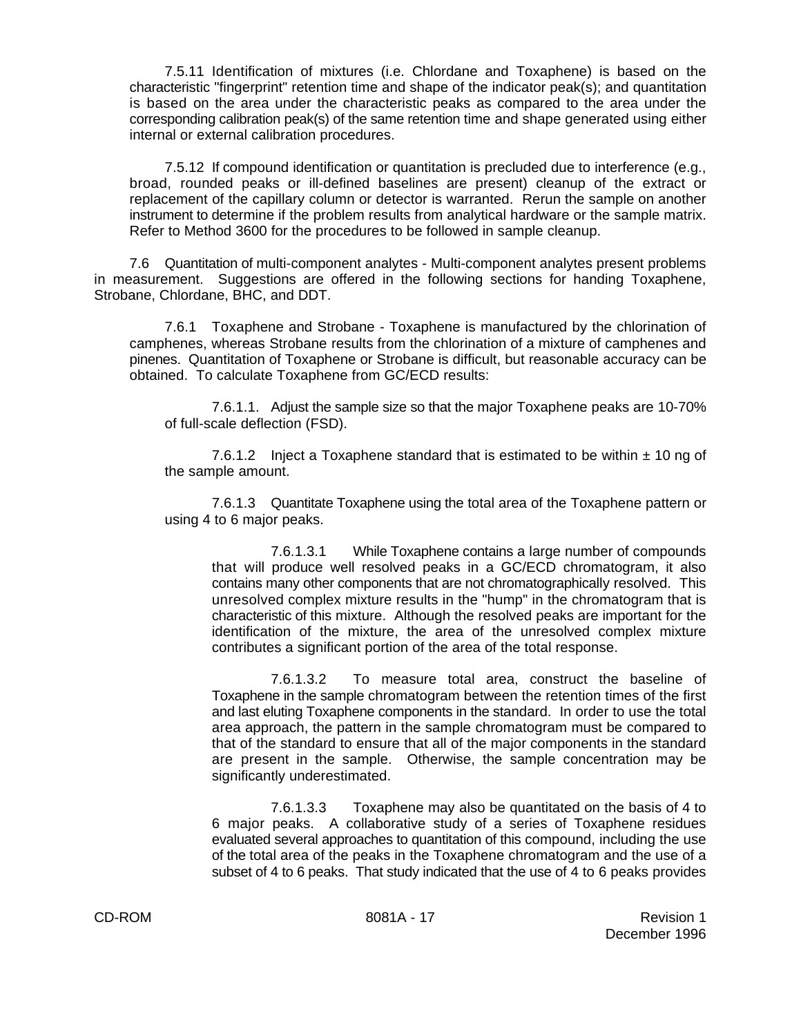7.5.11 Identification of mixtures (i.e. Chlordane and Toxaphene) is based on the characteristic "fingerprint" retention time and shape of the indicator peak(s); and quantitation is based on the area under the characteristic peaks as compared to the area under the corresponding calibration peak(s) of the same retention time and shape generated using either internal or external calibration procedures.

7.5.12 If compound identification or quantitation is precluded due to interference (e.g., broad, rounded peaks or ill-defined baselines are present) cleanup of the extract or replacement of the capillary column or detector is warranted. Rerun the sample on another instrument to determine if the problem results from analytical hardware or the sample matrix. Refer to Method 3600 for the procedures to be followed in sample cleanup.

7.6 Quantitation of multi-component analytes - Multi-component analytes present problems in measurement. Suggestions are offered in the following sections for handing Toxaphene, Strobane, Chlordane, BHC, and DDT.

7.6.1 Toxaphene and Strobane - Toxaphene is manufactured by the chlorination of camphenes, whereas Strobane results from the chlorination of a mixture of camphenes and pinenes. Quantitation of Toxaphene or Strobane is difficult, but reasonable accuracy can be obtained. To calculate Toxaphene from GC/ECD results:

7.6.1.1. Adjust the sample size so that the major Toxaphene peaks are 10-70% of full-scale deflection (FSD).

7.6.1.2 Inject a Toxaphene standard that is estimated to be within  $\pm$  10 ng of the sample amount.

7.6.1.3 Quantitate Toxaphene using the total area of the Toxaphene pattern or using 4 to 6 major peaks.

7.6.1.3.1 While Toxaphene contains a large number of compounds that will produce well resolved peaks in a GC/ECD chromatogram, it also contains many other components that are not chromatographically resolved. This unresolved complex mixture results in the "hump" in the chromatogram that is characteristic of this mixture. Although the resolved peaks are important for the identification of the mixture, the area of the unresolved complex mixture contributes a significant portion of the area of the total response.

7.6.1.3.2 To measure total area, construct the baseline of Toxaphene in the sample chromatogram between the retention times of the first and last eluting Toxaphene components in the standard. In order to use the total area approach, the pattern in the sample chromatogram must be compared to that of the standard to ensure that all of the major components in the standard are present in the sample. Otherwise, the sample concentration may be significantly underestimated.

7.6.1.3.3 Toxaphene may also be quantitated on the basis of 4 to 6 major peaks. A collaborative study of a series of Toxaphene residues evaluated several approaches to quantitation of this compound, including the use of the total area of the peaks in the Toxaphene chromatogram and the use of a subset of 4 to 6 peaks. That study indicated that the use of 4 to 6 peaks provides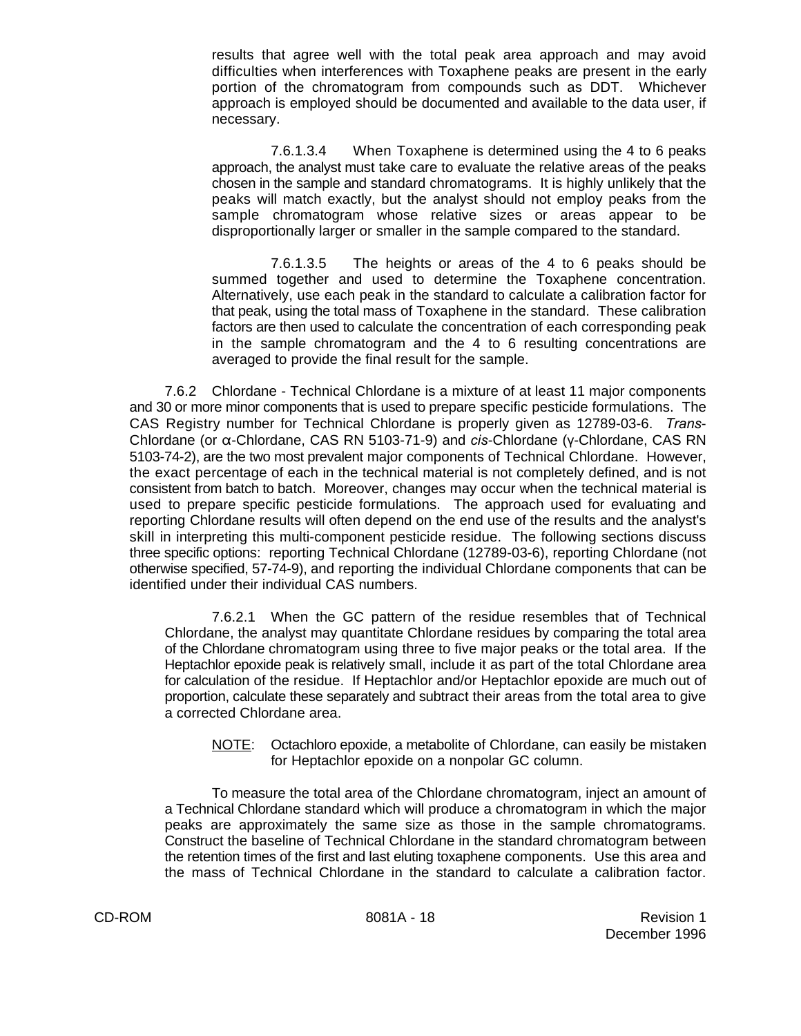results that agree well with the total peak area approach and may avoid difficulties when interferences with Toxaphene peaks are present in the early portion of the chromatogram from compounds such as DDT. Whichever approach is employed should be documented and available to the data user, if necessary.

7.6.1.3.4 When Toxaphene is determined using the 4 to 6 peaks approach, the analyst must take care to evaluate the relative areas of the peaks chosen in the sample and standard chromatograms. It is highly unlikely that the peaks will match exactly, but the analyst should not employ peaks from the sample chromatogram whose relative sizes or areas appear to be disproportionally larger or smaller in the sample compared to the standard.

7.6.1.3.5 The heights or areas of the 4 to 6 peaks should be summed together and used to determine the Toxaphene concentration. Alternatively, use each peak in the standard to calculate a calibration factor for that peak, using the total mass of Toxaphene in the standard. These calibration factors are then used to calculate the concentration of each corresponding peak in the sample chromatogram and the 4 to 6 resulting concentrations are averaged to provide the final result for the sample.

7.6.2 Chlordane - Technical Chlordane is a mixture of at least 11 major components and 30 or more minor components that is used to prepare specific pesticide formulations. The CAS Registry number for Technical Chlordane is properly given as 12789-03-6. *Trans*-Chlordane (or α-Chlordane, CAS RN 5103-71-9) and *cis*-Chlordane (y-Chlordane, CAS RN 5103-74-2), are the two most prevalent major components of Technical Chlordane. However, the exact percentage of each in the technical material is not completely defined, and is not consistent from batch to batch. Moreover, changes may occur when the technical material is used to prepare specific pesticide formulations. The approach used for evaluating and reporting Chlordane results will often depend on the end use of the results and the analyst's skill in interpreting this multi-component pesticide residue. The following sections discuss three specific options: reporting Technical Chlordane (12789-03-6), reporting Chlordane (not otherwise specified, 57-74-9), and reporting the individual Chlordane components that can be identified under their individual CAS numbers.

7.6.2.1 When the GC pattern of the residue resembles that of Technical Chlordane, the analyst may quantitate Chlordane residues by comparing the total area of the Chlordane chromatogram using three to five major peaks or the total area. If the Heptachlor epoxide peak is relatively small, include it as part of the total Chlordane area for calculation of the residue. If Heptachlor and/or Heptachlor epoxide are much out of proportion, calculate these separately and subtract their areas from the total area to give a corrected Chlordane area.

NOTE: Octachloro epoxide, a metabolite of Chlordane, can easily be mistaken for Heptachlor epoxide on a nonpolar GC column.

To measure the total area of the Chlordane chromatogram, inject an amount of a Technical Chlordane standard which will produce a chromatogram in which the major peaks are approximately the same size as those in the sample chromatograms. Construct the baseline of Technical Chlordane in the standard chromatogram between the retention times of the first and last eluting toxaphene components. Use this area and the mass of Technical Chlordane in the standard to calculate a calibration factor.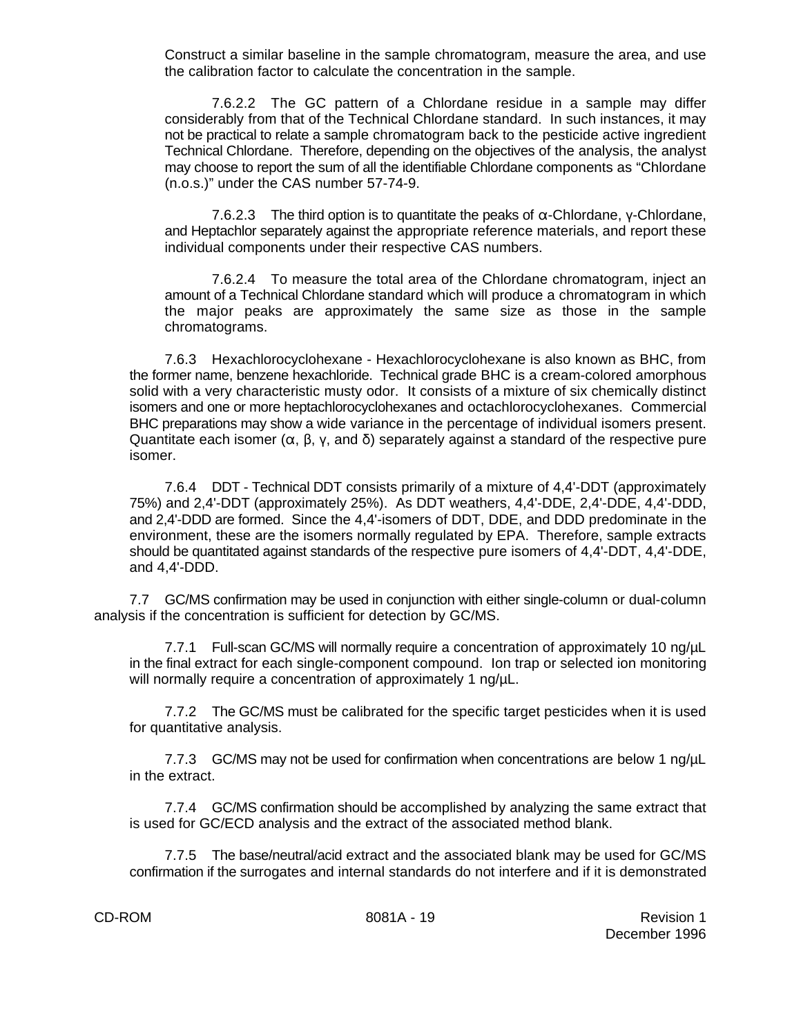Construct a similar baseline in the sample chromatogram, measure the area, and use the calibration factor to calculate the concentration in the sample.

7.6.2.2 The GC pattern of a Chlordane residue in a sample may differ considerably from that of the Technical Chlordane standard. In such instances, it may not be practical to relate a sample chromatogram back to the pesticide active ingredient Technical Chlordane. Therefore, depending on the objectives of the analysis, the analyst may choose to report the sum of all the identifiable Chlordane components as "Chlordane (n.o.s.)" under the CAS number 57-74-9.

7.6.2.3 The third option is to quantitate the peaks of  $\alpha$ -Chlordane, y-Chlordane, and Heptachlor separately against the appropriate reference materials, and report these individual components under their respective CAS numbers.

7.6.2.4 To measure the total area of the Chlordane chromatogram, inject an amount of a Technical Chlordane standard which will produce a chromatogram in which the major peaks are approximately the same size as those in the sample chromatograms.

7.6.3 Hexachlorocyclohexane - Hexachlorocyclohexane is also known as BHC, from the former name, benzene hexachloride. Technical grade BHC is a cream-colored amorphous solid with a very characteristic musty odor. It consists of a mixture of six chemically distinct isomers and one or more heptachlorocyclohexanes and octachlorocyclohexanes. Commercial BHC preparations may show a wide variance in the percentage of individual isomers present. Quantitate each isomer  $(\alpha, \beta, \gamma, \alpha)$  and  $\delta$ ) separately against a standard of the respective pure isomer.

7.6.4 DDT - Technical DDT consists primarily of a mixture of 4,4'-DDT (approximately 75%) and 2,4'-DDT (approximately 25%). As DDT weathers, 4,4'-DDE, 2,4'-DDE, 4,4'-DDD, and 2,4'-DDD are formed. Since the 4,4'-isomers of DDT, DDE, and DDD predominate in the environment, these are the isomers normally regulated by EPA. Therefore, sample extracts should be quantitated against standards of the respective pure isomers of 4,4'-DDT, 4,4'-DDE, and 4,4'-DDD.

7.7 GC/MS confirmation may be used in conjunction with either single-column or dual-column analysis if the concentration is sufficient for detection by GC/MS.

7.7.1 Full-scan GC/MS will normally require a concentration of approximately 10 ng/µL in the final extract for each single-component compound. Ion trap or selected ion monitoring will normally require a concentration of approximately 1 ng/ $\mu$ L.

7.7.2 The GC/MS must be calibrated for the specific target pesticides when it is used for quantitative analysis.

7.7.3 GC/MS may not be used for confirmation when concentrations are below 1 ng/µL in the extract.

7.7.4 GC/MS confirmation should be accomplished by analyzing the same extract that is used for GC/ECD analysis and the extract of the associated method blank.

7.7.5 The base/neutral/acid extract and the associated blank may be used for GC/MS confirmation if the surrogates and internal standards do not interfere and if it is demonstrated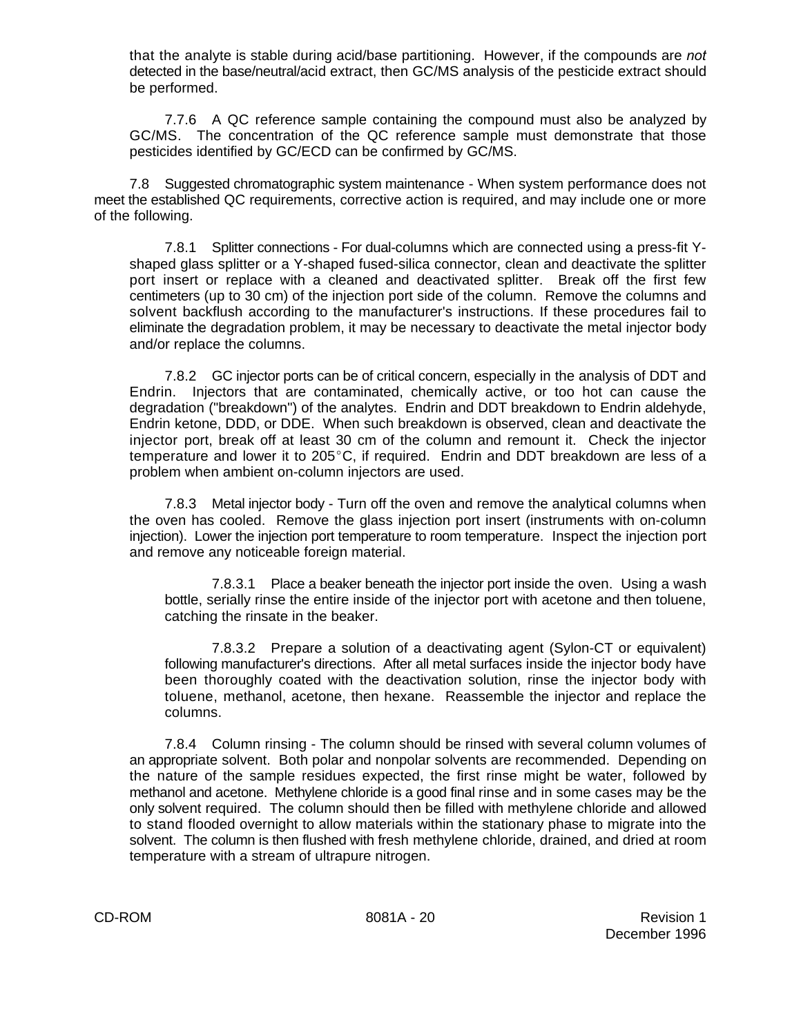that the analyte is stable during acid/base partitioning. However, if the compounds are *not* detected in the base/neutral/acid extract, then GC/MS analysis of the pesticide extract should be performed.

7.7.6 A QC reference sample containing the compound must also be analyzed by GC/MS. The concentration of the QC reference sample must demonstrate that those pesticides identified by GC/ECD can be confirmed by GC/MS.

7.8 Suggested chromatographic system maintenance - When system performance does not meet the established QC requirements, corrective action is required, and may include one or more of the following.

7.8.1 Splitter connections - For dual-columns which are connected using a press-fit Yshaped glass splitter or a Y-shaped fused-silica connector, clean and deactivate the splitter port insert or replace with a cleaned and deactivated splitter. Break off the first few centimeters (up to 30 cm) of the injection port side of the column. Remove the columns and solvent backflush according to the manufacturer's instructions. If these procedures fail to eliminate the degradation problem, it may be necessary to deactivate the metal injector body and/or replace the columns.

7.8.2 GC injector ports can be of critical concern, especially in the analysis of DDT and Endrin. Injectors that are contaminated, chemically active, or too hot can cause the degradation ("breakdown") of the analytes. Endrin and DDT breakdown to Endrin aldehyde, Endrin ketone, DDD, or DDE. When such breakdown is observed, clean and deactivate the injector port, break off at least 30 cm of the column and remount it. Check the injector temperature and lower it to  $205^{\circ}$ C, if required. Endrin and DDT breakdown are less of a problem when ambient on-column injectors are used.

7.8.3 Metal injector body - Turn off the oven and remove the analytical columns when the oven has cooled. Remove the glass injection port insert (instruments with on-column injection). Lower the injection port temperature to room temperature. Inspect the injection port and remove any noticeable foreign material.

7.8.3.1 Place a beaker beneath the injector port inside the oven. Using a wash bottle, serially rinse the entire inside of the injector port with acetone and then toluene, catching the rinsate in the beaker.

7.8.3.2 Prepare a solution of a deactivating agent (Sylon-CT or equivalent) following manufacturer's directions. After all metal surfaces inside the injector body have been thoroughly coated with the deactivation solution, rinse the injector body with toluene, methanol, acetone, then hexane. Reassemble the injector and replace the columns.

7.8.4 Column rinsing - The column should be rinsed with several column volumes of an appropriate solvent. Both polar and nonpolar solvents are recommended. Depending on the nature of the sample residues expected, the first rinse might be water, followed by methanol and acetone. Methylene chloride is a good final rinse and in some cases may be the only solvent required. The column should then be filled with methylene chloride and allowed to stand flooded overnight to allow materials within the stationary phase to migrate into the solvent. The column is then flushed with fresh methylene chloride, drained, and dried at room temperature with a stream of ultrapure nitrogen.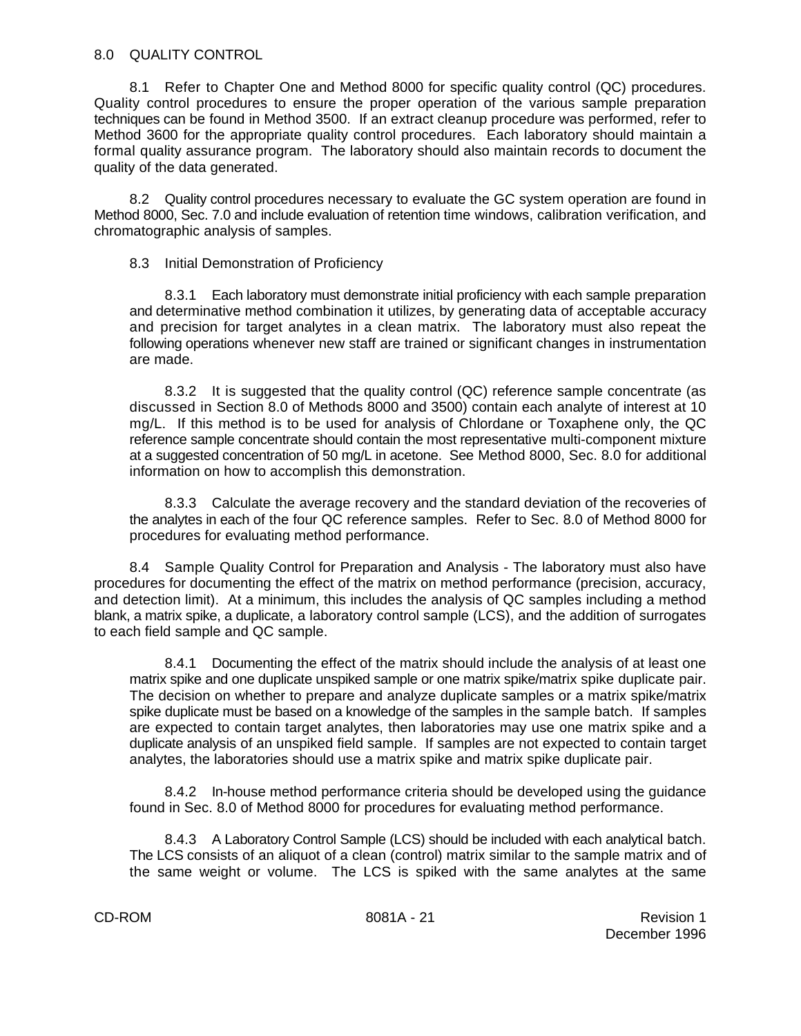## 8.0 QUALITY CONTROL

8.1 Refer to Chapter One and Method 8000 for specific quality control (QC) procedures. Quality control procedures to ensure the proper operation of the various sample preparation techniques can be found in Method 3500. If an extract cleanup procedure was performed, refer to Method 3600 for the appropriate quality control procedures. Each laboratory should maintain a formal quality assurance program. The laboratory should also maintain records to document the quality of the data generated.

8.2 Quality control procedures necessary to evaluate the GC system operation are found in Method 8000, Sec. 7.0 and include evaluation of retention time windows, calibration verification, and chromatographic analysis of samples.

# 8.3 Initial Demonstration of Proficiency

8.3.1 Each laboratory must demonstrate initial proficiency with each sample preparation and determinative method combination it utilizes, by generating data of acceptable accuracy and precision for target analytes in a clean matrix. The laboratory must also repeat the following operations whenever new staff are trained or significant changes in instrumentation are made.

8.3.2 It is suggested that the quality control (QC) reference sample concentrate (as discussed in Section 8.0 of Methods 8000 and 3500) contain each analyte of interest at 10 mg/L. If this method is to be used for analysis of Chlordane or Toxaphene only, the QC reference sample concentrate should contain the most representative multi-component mixture at a suggested concentration of 50 mg/L in acetone. See Method 8000, Sec. 8.0 for additional information on how to accomplish this demonstration.

8.3.3 Calculate the average recovery and the standard deviation of the recoveries of the analytes in each of the four QC reference samples. Refer to Sec. 8.0 of Method 8000 for procedures for evaluating method performance.

8.4 Sample Quality Control for Preparation and Analysis - The laboratory must also have procedures for documenting the effect of the matrix on method performance (precision, accuracy, and detection limit). At a minimum, this includes the analysis of QC samples including a method blank, a matrix spike, a duplicate, a laboratory control sample (LCS), and the addition of surrogates to each field sample and QC sample.

8.4.1 Documenting the effect of the matrix should include the analysis of at least one matrix spike and one duplicate unspiked sample or one matrix spike/matrix spike duplicate pair. The decision on whether to prepare and analyze duplicate samples or a matrix spike/matrix spike duplicate must be based on a knowledge of the samples in the sample batch. If samples are expected to contain target analytes, then laboratories may use one matrix spike and a duplicate analysis of an unspiked field sample. If samples are not expected to contain target analytes, the laboratories should use a matrix spike and matrix spike duplicate pair.

8.4.2 In-house method performance criteria should be developed using the guidance found in Sec. 8.0 of Method 8000 for procedures for evaluating method performance.

8.4.3 A Laboratory Control Sample (LCS) should be included with each analytical batch. The LCS consists of an aliquot of a clean (control) matrix similar to the sample matrix and of the same weight or volume. The LCS is spiked with the same analytes at the same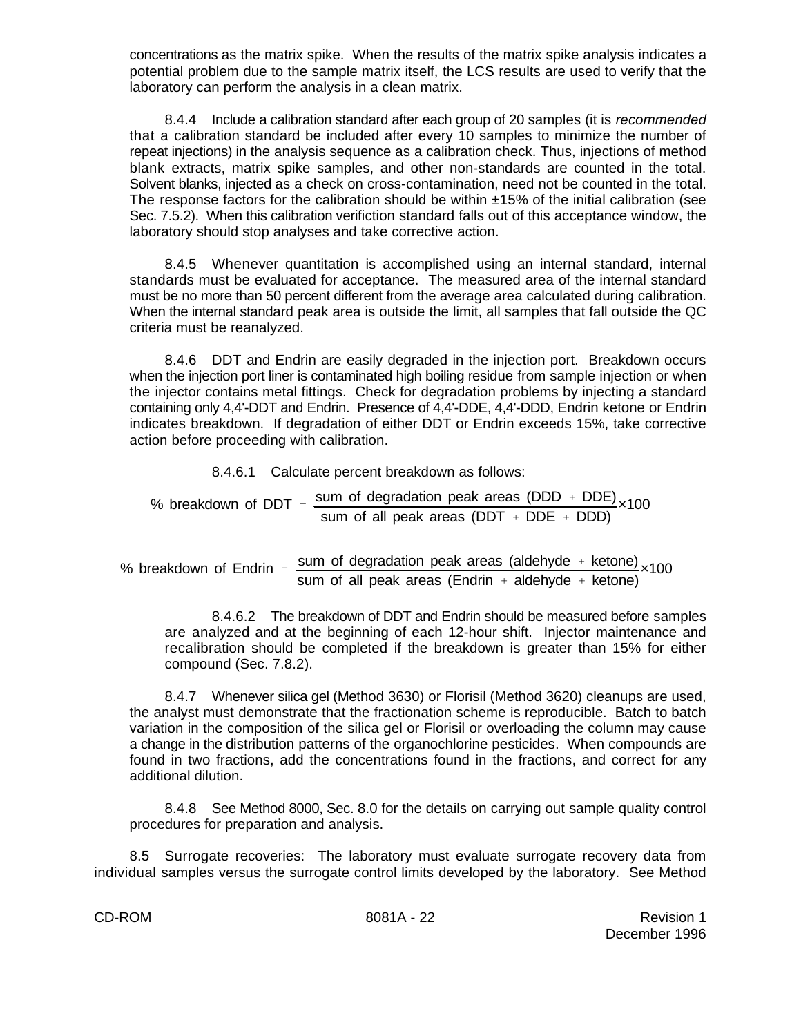concentrations as the matrix spike. When the results of the matrix spike analysis indicates a potential problem due to the sample matrix itself, the LCS results are used to verify that the laboratory can perform the analysis in a clean matrix.

8.4.4 Include a calibration standard after each group of 20 samples (it is *recommended* that a calibration standard be included after every 10 samples to minimize the number of repeat injections) in the analysis sequence as a calibration check. Thus, injections of method blank extracts, matrix spike samples, and other non-standards are counted in the total. Solvent blanks, injected as a check on cross-contamination, need not be counted in the total. The response factors for the calibration should be within ±15% of the initial calibration (see Sec. 7.5.2). When this calibration verifiction standard falls out of this acceptance window, the laboratory should stop analyses and take corrective action.

8.4.5 Whenever quantitation is accomplished using an internal standard, internal standards must be evaluated for acceptance. The measured area of the internal standard must be no more than 50 percent different from the average area calculated during calibration. When the internal standard peak area is outside the limit, all samples that fall outside the QC criteria must be reanalyzed.

8.4.6 DDT and Endrin are easily degraded in the injection port. Breakdown occurs when the injection port liner is contaminated high boiling residue from sample injection or when the injector contains metal fittings. Check for degradation problems by injecting a standard containing only 4,4'-DDT and Endrin. Presence of 4,4'-DDE, 4,4'-DDD, Endrin ketone or Endrin indicates breakdown. If degradation of either DDT or Endrin exceeds 15%, take corrective action before proceeding with calibration.

8.4.6.1 Calculate percent breakdown as follows:

% breakdown of DDT = 
$$
\frac{\text{sum of degradation peak areas (DDD + DDE)}}{\text{sum of all peak areas (DDT + DDE + DDD)}} \times 100
$$

% breakdown of Endrin =  $\frac{\text{sum of degradation peak areas (aldehyde + ketone)}}{100} \times 100$ sum of all peak areas (Endrin  $+$  aldehyde  $+$  ketone)

8.4.6.2 The breakdown of DDT and Endrin should be measured before samples are analyzed and at the beginning of each 12-hour shift. Injector maintenance and recalibration should be completed if the breakdown is greater than 15% for either compound (Sec. 7.8.2).

8.4.7 Whenever silica gel (Method 3630) or Florisil (Method 3620) cleanups are used, the analyst must demonstrate that the fractionation scheme is reproducible. Batch to batch variation in the composition of the silica gel or Florisil or overloading the column may cause a change in the distribution patterns of the organochlorine pesticides. When compounds are found in two fractions, add the concentrations found in the fractions, and correct for any additional dilution.

8.4.8 See Method 8000, Sec. 8.0 for the details on carrying out sample quality control procedures for preparation and analysis.

8.5 Surrogate recoveries: The laboratory must evaluate surrogate recovery data from individual samples versus the surrogate control limits developed by the laboratory. See Method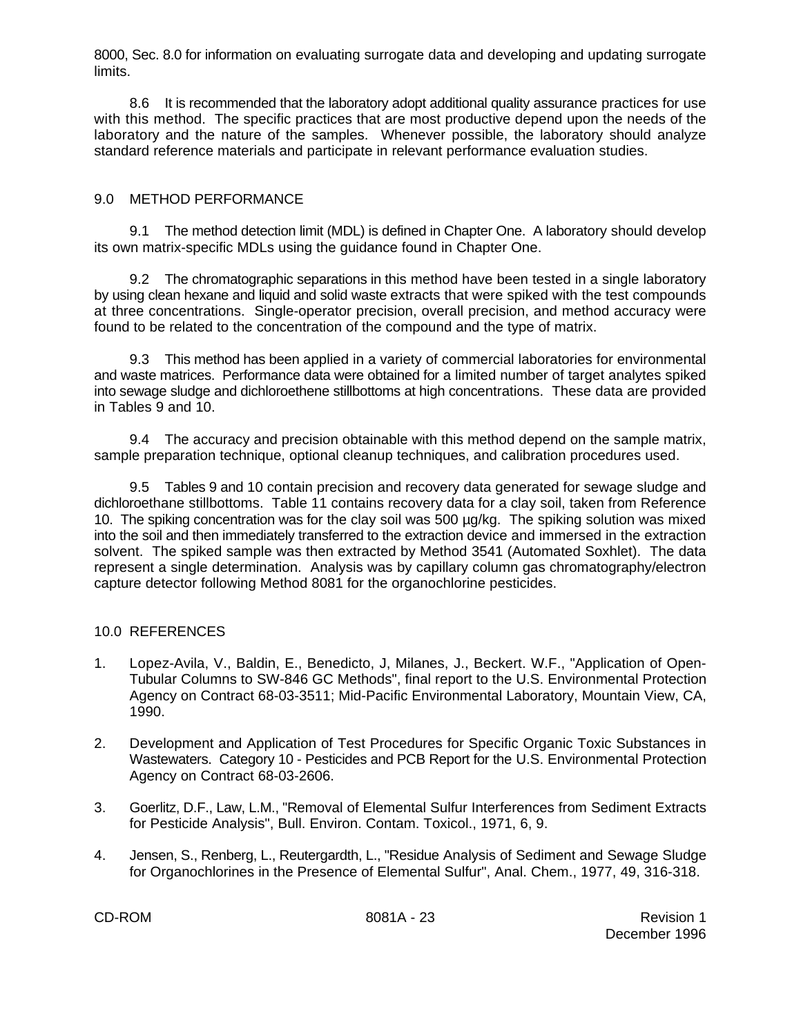8000, Sec. 8.0 for information on evaluating surrogate data and developing and updating surrogate limits.

8.6 It is recommended that the laboratory adopt additional quality assurance practices for use with this method. The specific practices that are most productive depend upon the needs of the laboratory and the nature of the samples. Whenever possible, the laboratory should analyze standard reference materials and participate in relevant performance evaluation studies.

# 9.0 METHOD PERFORMANCE

9.1 The method detection limit (MDL) is defined in Chapter One. A laboratory should develop its own matrix-specific MDLs using the guidance found in Chapter One.

9.2 The chromatographic separations in this method have been tested in a single laboratory by using clean hexane and liquid and solid waste extracts that were spiked with the test compounds at three concentrations. Single-operator precision, overall precision, and method accuracy were found to be related to the concentration of the compound and the type of matrix.

9.3 This method has been applied in a variety of commercial laboratories for environmental and waste matrices. Performance data were obtained for a limited number of target analytes spiked into sewage sludge and dichloroethene stillbottoms at high concentrations. These data are provided in Tables 9 and 10.

9.4 The accuracy and precision obtainable with this method depend on the sample matrix, sample preparation technique, optional cleanup techniques, and calibration procedures used.

9.5 Tables 9 and 10 contain precision and recovery data generated for sewage sludge and dichloroethane stillbottoms. Table 11 contains recovery data for a clay soil, taken from Reference 10. The spiking concentration was for the clay soil was 500 µg/kg. The spiking solution was mixed into the soil and then immediately transferred to the extraction device and immersed in the extraction solvent. The spiked sample was then extracted by Method 3541 (Automated Soxhlet). The data represent a single determination. Analysis was by capillary column gas chromatography/electron capture detector following Method 8081 for the organochlorine pesticides.

# 10.0 REFERENCES

- 1. Lopez-Avila, V., Baldin, E., Benedicto, J, Milanes, J., Beckert. W.F., "Application of Open-Tubular Columns to SW-846 GC Methods", final report to the U.S. Environmental Protection Agency on Contract 68-03-3511; Mid-Pacific Environmental Laboratory, Mountain View, CA, 1990.
- 2. Development and Application of Test Procedures for Specific Organic Toxic Substances in Wastewaters. Category 10 - Pesticides and PCB Report for the U.S. Environmental Protection Agency on Contract 68-03-2606.
- 3. Goerlitz, D.F., Law, L.M., "Removal of Elemental Sulfur Interferences from Sediment Extracts for Pesticide Analysis", Bull. Environ. Contam. Toxicol., 1971, 6, 9.
- 4. Jensen, S., Renberg, L., Reutergardth, L., "Residue Analysis of Sediment and Sewage Sludge for Organochlorines in the Presence of Elemental Sulfur", Anal. Chem., 1977, 49, 316-318.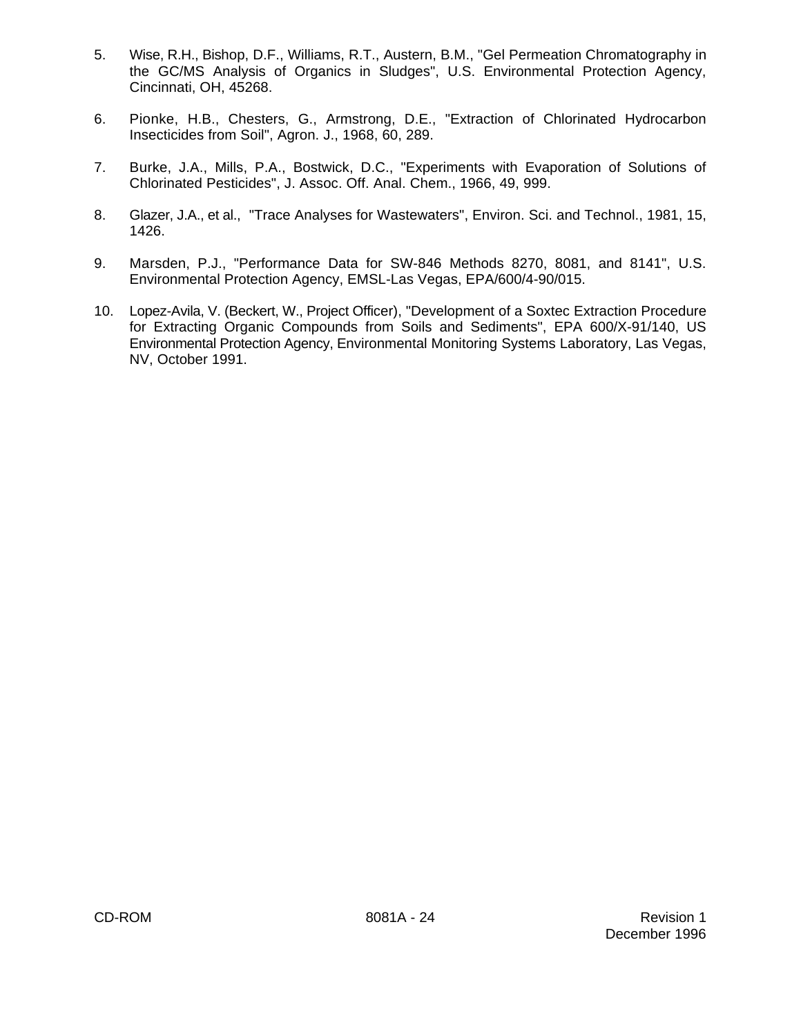- 5. Wise, R.H., Bishop, D.F., Williams, R.T., Austern, B.M., "Gel Permeation Chromatography in the GC/MS Analysis of Organics in Sludges", U.S. Environmental Protection Agency, Cincinnati, OH, 45268.
- 6. Pionke, H.B., Chesters, G., Armstrong, D.E., "Extraction of Chlorinated Hydrocarbon Insecticides from Soil", Agron. J., 1968, 60, 289.
- 7. Burke, J.A., Mills, P.A., Bostwick, D.C., "Experiments with Evaporation of Solutions of Chlorinated Pesticides", J. Assoc. Off. Anal. Chem., 1966, 49, 999.
- 8. Glazer, J.A., et al., "Trace Analyses for Wastewaters", Environ. Sci. and Technol., 1981, 15, 1426.
- 9. Marsden, P.J., "Performance Data for SW-846 Methods 8270, 8081, and 8141", U.S. Environmental Protection Agency, EMSL-Las Vegas, EPA/600/4-90/015.
- 10. Lopez-Avila, V. (Beckert, W., Project Officer), "Development of a Soxtec Extraction Procedure for Extracting Organic Compounds from Soils and Sediments", EPA 600/X-91/140, US Environmental Protection Agency, Environmental Monitoring Systems Laboratory, Las Vegas, NV, October 1991.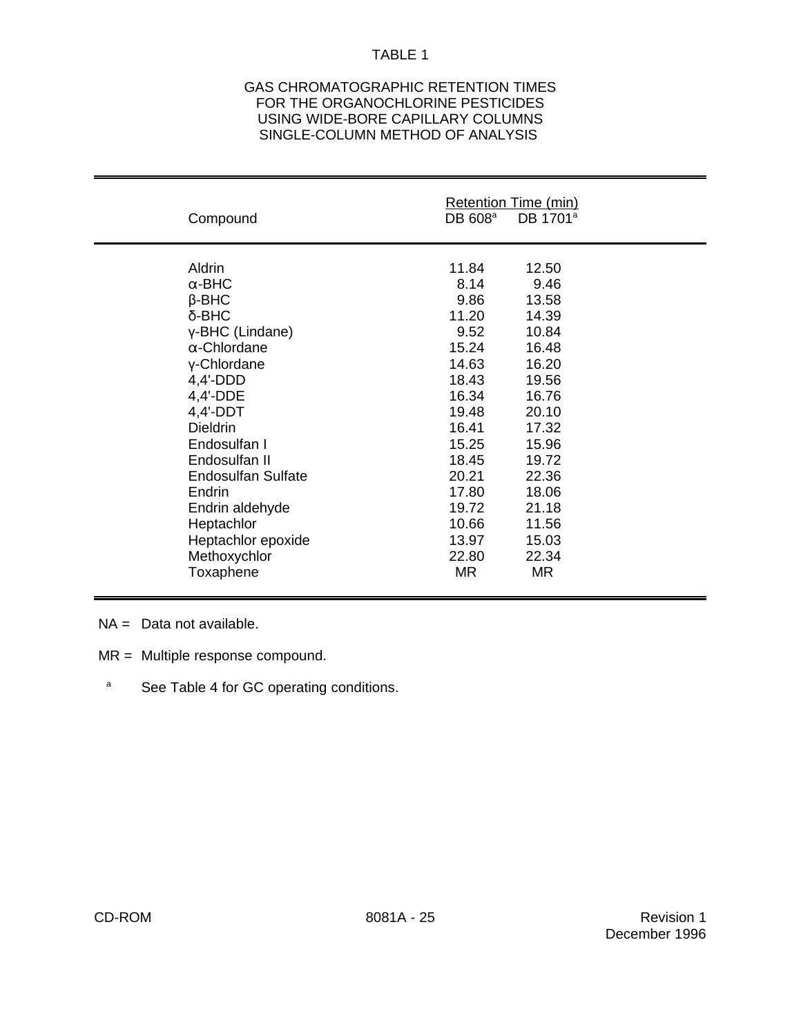### GAS CHROMATOGRAPHIC RETENTION TIMES FOR THE ORGANOCHLORINE PESTICIDES USING WIDE-BORE CAPILLARY COLUMNS SINGLE-COLUMN METHOD OF ANALYSIS

| Compound                  | DB 608 <sup>a</sup> | Retention Time (min)<br>DB 1701 <sup>a</sup> |
|---------------------------|---------------------|----------------------------------------------|
| Aldrin                    | 11.84               | 12.50                                        |
| $\alpha$ -BHC             | 8.14                | 9.46                                         |
| $\beta$ -BHC              | 9.86                | 13.58                                        |
| δ-BHC                     | 11.20               | 14.39                                        |
| y-BHC (Lindane)           | 9.52                | 10.84                                        |
| $\alpha$ -Chlordane       | 15.24               | 16.48                                        |
| y-Chlordane               | 14.63               | 16.20                                        |
| $4,4'$ -DDD               | 18.43               | 19.56                                        |
| 4,4'-DDE                  | 16.34               | 16.76                                        |
| $4,4'-DDT$                | 19.48               | 20.10                                        |
| <b>Dieldrin</b>           | 16.41               | 17.32                                        |
| Endosulfan I              | 15.25               | 15.96                                        |
| Endosulfan II             | 18.45               | 19.72                                        |
| <b>Endosulfan Sulfate</b> | 20.21               | 22.36                                        |
| Endrin                    | 17.80               | 18.06                                        |
| Endrin aldehyde           | 19.72               | 21.18                                        |
| Heptachlor                | 10.66               | 11.56                                        |
| Heptachlor epoxide        | 13.97               | 15.03                                        |
| Methoxychlor              | 22.80               | 22.34                                        |
| Toxaphene                 | MR.                 | MR                                           |

- NA = Data not available.
- MR = Multiple response compound.
- <sup>a</sup> See Table 4 for GC operating conditions.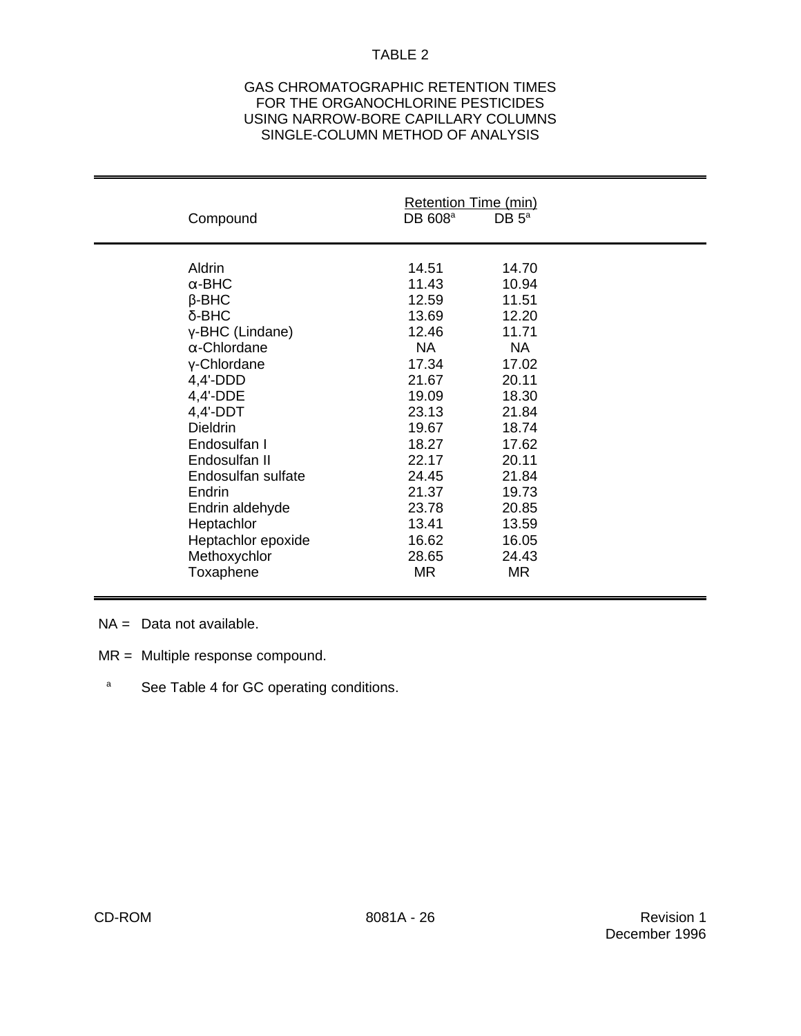### GAS CHROMATOGRAPHIC RETENTION TIMES FOR THE ORGANOCHLORINE PESTICIDES USING NARROW-BORE CAPILLARY COLUMNS SINGLE-COLUMN METHOD OF ANALYSIS

| Compound            | Retention Time (min)<br>DB 608 <sup>a</sup> | DB $5^{\circ}$ |  |
|---------------------|---------------------------------------------|----------------|--|
| Aldrin              | 14.51                                       | 14.70          |  |
| $\alpha$ -BHC       | 11.43                                       | 10.94          |  |
| $\beta$ -BHC        | 12.59                                       | 11.51          |  |
| $\delta$ -BHC       | 13.69                                       | 12.20          |  |
| γ-BHC (Lindane)     | 12.46                                       | 11.71          |  |
| $\alpha$ -Chlordane | <b>NA</b>                                   | <b>NA</b>      |  |
| y-Chlordane         | 17.34                                       | 17.02          |  |
| $4,4'$ -DDD         | 21.67                                       | 20.11          |  |
| 4,4'-DDE            | 19.09                                       | 18.30          |  |
| $4,4'-DDT$          | 23.13                                       | 21.84          |  |
| <b>Dieldrin</b>     | 19.67                                       | 18.74          |  |
| Endosulfan I        | 18.27                                       | 17.62          |  |
| Endosulfan II       | 22.17                                       | 20.11          |  |
| Endosulfan sulfate  | 24.45                                       | 21.84          |  |
| Endrin              | 21.37                                       | 19.73          |  |
| Endrin aldehyde     | 23.78                                       | 20.85          |  |
| Heptachlor          | 13.41                                       | 13.59          |  |
| Heptachlor epoxide  | 16.62                                       | 16.05          |  |
| Methoxychlor        | 28.65                                       | 24.43          |  |
| Toxaphene           | MR.                                         | MR             |  |
|                     |                                             |                |  |

- NA = Data not available.
- MR = Multiple response compound.
- <sup>a</sup> See Table 4 for GC operating conditions.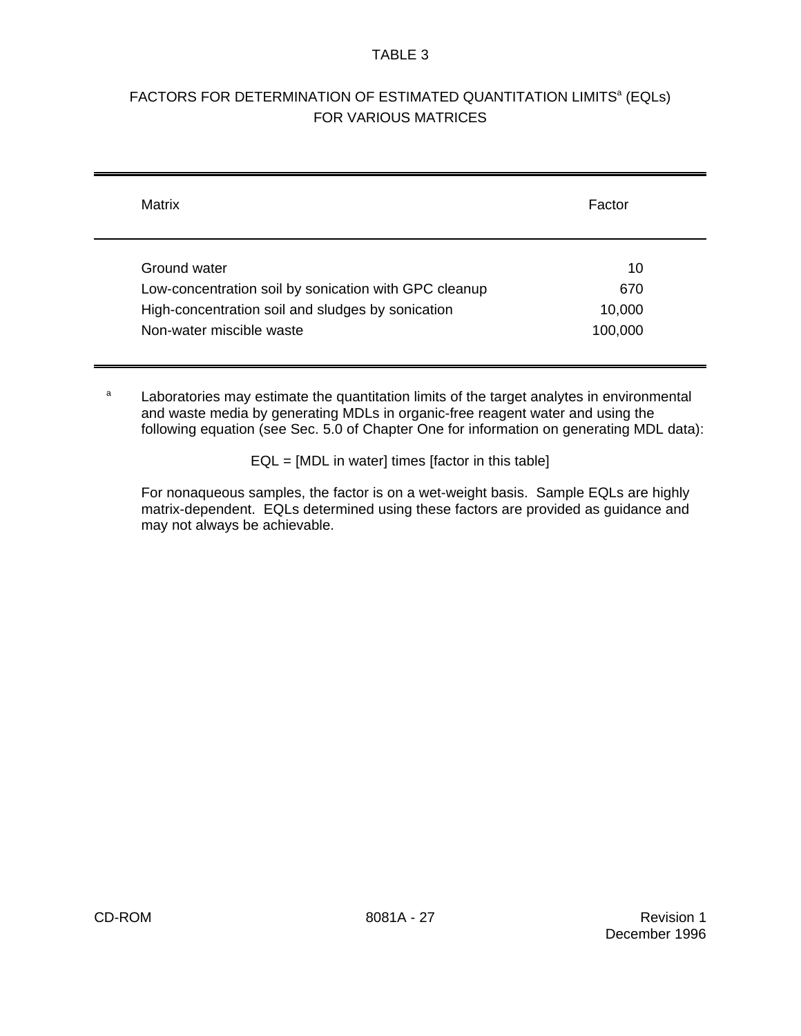# FACTORS FOR DETERMINATION OF ESTIMATED QUANTITATION LIMITS<sup>a</sup> (EQLs) FOR VARIOUS MATRICES

| Matrix                                                | Factor  |
|-------------------------------------------------------|---------|
| Ground water                                          | 10      |
| Low-concentration soil by sonication with GPC cleanup | 670     |
| High-concentration soil and sludges by sonication     | 10,000  |
| Non-water miscible waste                              | 100,000 |

<sup>a</sup> Laboratories may estimate the quantitation limits of the target analytes in environmental and waste media by generating MDLs in organic-free reagent water and using the following equation (see Sec. 5.0 of Chapter One for information on generating MDL data):

EQL = [MDL in water] times [factor in this table]

For nonaqueous samples, the factor is on a wet-weight basis. Sample EQLs are highly matrix-dependent. EQLs determined using these factors are provided as guidance and may not always be achievable.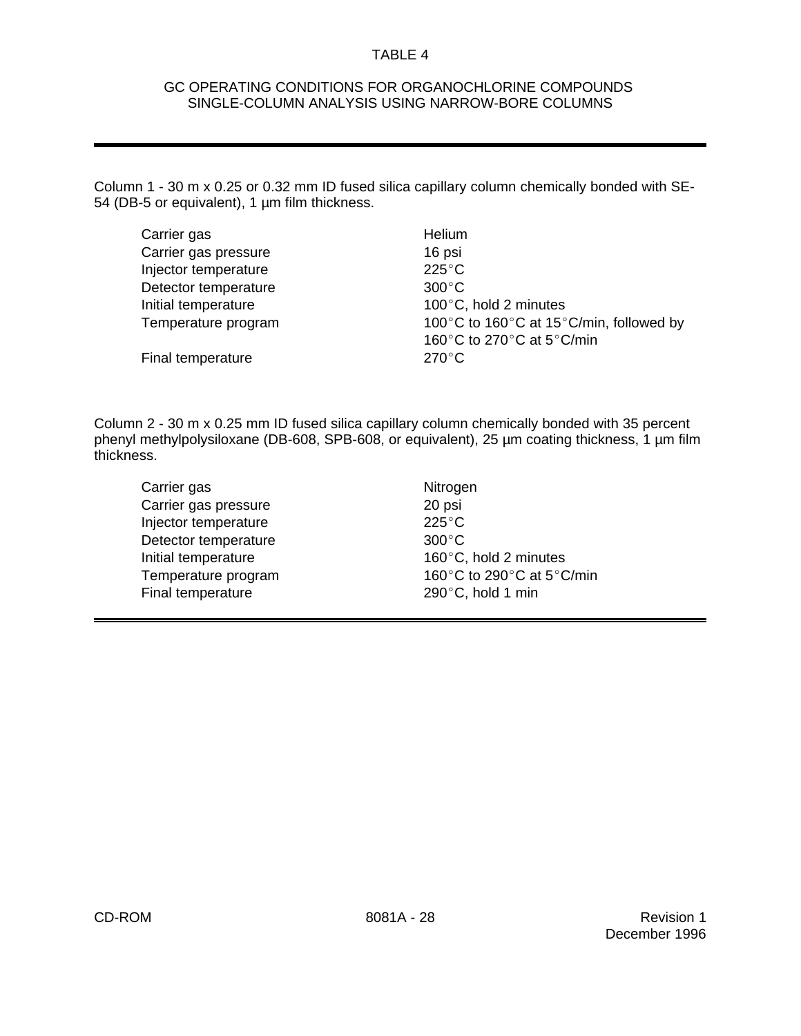### GC OPERATING CONDITIONS FOR ORGANOCHLORINE COMPOUNDS SINGLE-COLUMN ANALYSIS USING NARROW-BORE COLUMNS

Column 1 - 30 m x 0.25 or 0.32 mm ID fused silica capillary column chemically bonded with SE-54 (DB-5 or equivalent), 1 µm film thickness.

| Helium                                                  |
|---------------------------------------------------------|
| 16 psi                                                  |
| $225^{\circ}$ C                                         |
| $300^{\circ}$ C                                         |
| 100°C, hold 2 minutes                                   |
| 100°C to 160°C at 15°C/min, followed by                 |
| 160 $\degree$ C to 270 $\degree$ C at 5 $\degree$ C/min |
| $270^{\circ}$ C                                         |
|                                                         |

Column 2 - 30 m x 0.25 mm ID fused silica capillary column chemically bonded with 35 percent phenyl methylpolysiloxane (DB-608, SPB-608, or equivalent), 25 µm coating thickness, 1 µm film thickness.

- Carrier gas Nitrogen Carrier gas pressure 20 psi Injector temperature 225°C Detector temperature 300°C Initial temperature  $160^{\circ}$ C, hold 2 minutes Final temperature 290°C, hold 1 min
- Temperature program 160 $^{\circ}$ C to 290 $^{\circ}$ C at 5 $^{\circ}$ C/min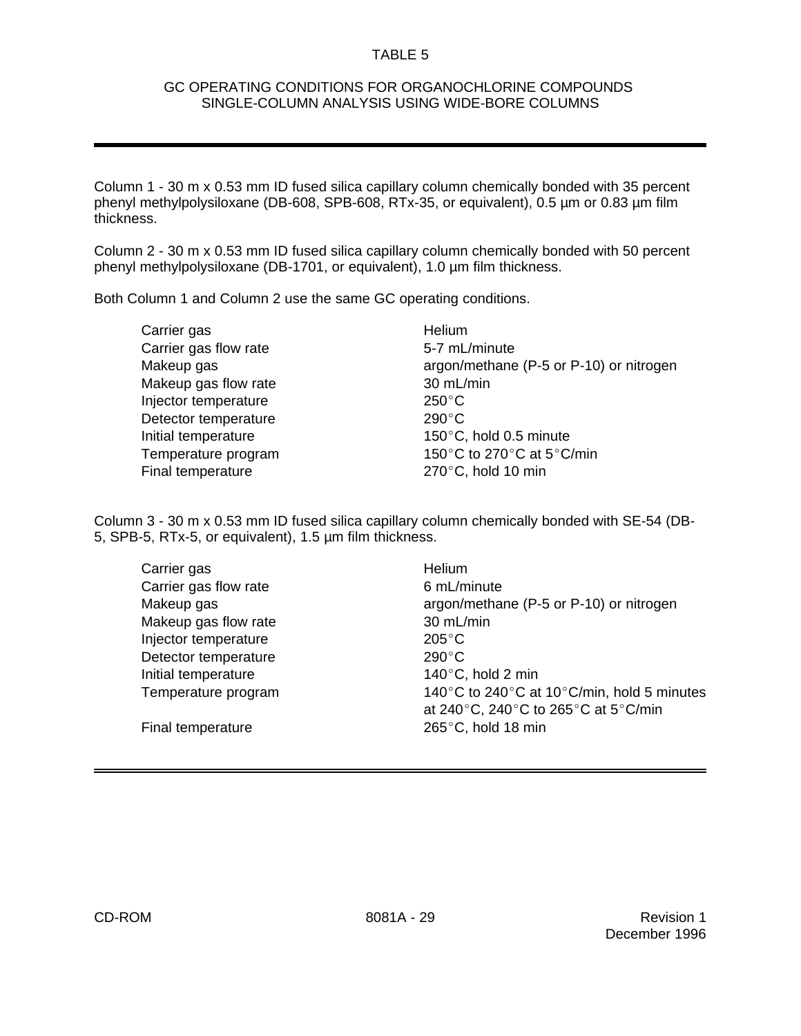#### GC OPERATING CONDITIONS FOR ORGANOCHLORINE COMPOUNDS SINGLE-COLUMN ANALYSIS USING WIDE-BORE COLUMNS

Column 1 - 30 m x 0.53 mm ID fused silica capillary column chemically bonded with 35 percent phenyl methylpolysiloxane (DB-608, SPB-608, RTx-35, or equivalent), 0.5 µm or 0.83 µm film thickness.

Column 2 - 30 m x 0.53 mm ID fused silica capillary column chemically bonded with 50 percent phenyl methylpolysiloxane (DB-1701, or equivalent), 1.0 µm film thickness.

Both Column 1 and Column 2 use the same GC operating conditions.

Carrier gas **Helium** Carrier gas flow rate 5-7 mL/minute Makeup gas flow rate 30 mL/min Injector temperature 250°C Detector temperature 290°C Final temperature 270°C, hold 10 min

Makeup gas **argon/methane (P-5 or P-10)** or nitrogen Initial temperature 150 $^{\circ}$ C, hold 0.5 minute Temperature program 150 $^{\circ}$ C to 270 $^{\circ}$ C at 5 $^{\circ}$ C/min

Column 3 - 30 m x 0.53 mm ID fused silica capillary column chemically bonded with SE-54 (DB-5, SPB-5, RTx-5, or equivalent), 1.5 µm film thickness.

| Carrier gas           | Helium                                                                          |
|-----------------------|---------------------------------------------------------------------------------|
| Carrier gas flow rate | 6 mL/minute                                                                     |
| Makeup gas            | argon/methane (P-5 or P-10) or nitrogen                                         |
| Makeup gas flow rate  | 30 mL/min                                                                       |
| Injector temperature  | $205^{\circ}$ C                                                                 |
| Detector temperature  | $290^{\circ}$ C                                                                 |
| Initial temperature   | 140 $\degree$ C, hold 2 min                                                     |
| Temperature program   | 140°C to 240°C at 10°C/min, hold 5 minutes                                      |
|                       | at 240 $^{\circ}$ C, 240 $^{\circ}$ C to 265 $^{\circ}$ C at 5 $^{\circ}$ C/min |
| Final temperature     | 265 $\degree$ C, hold 18 min                                                    |
|                       |                                                                                 |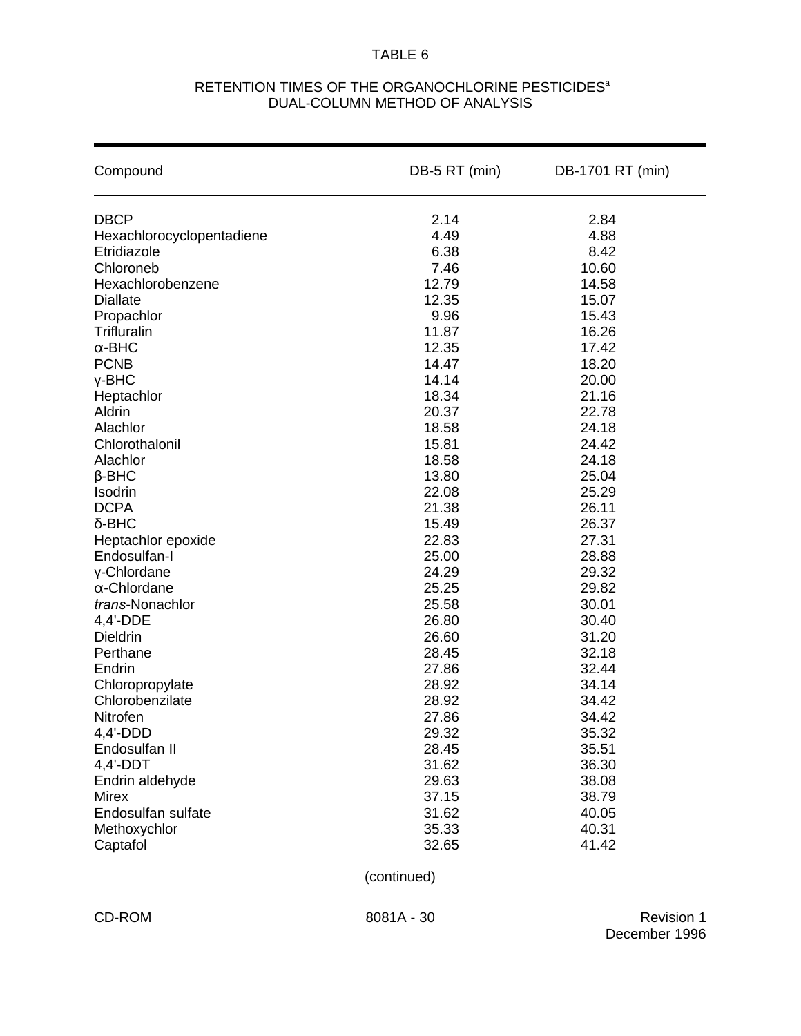## RETENTION TIMES OF THE ORGANOCHLORINE PESTICIDES<sup>a</sup> DUAL-COLUMN METHOD OF ANALYSIS

| Compound                           | DB-5 RT (min)  | DB-1701 RT (min) |  |  |  |
|------------------------------------|----------------|------------------|--|--|--|
| <b>DBCP</b>                        | 2.14           | 2.84             |  |  |  |
| Hexachlorocyclopentadiene          | 4.49           | 4.88             |  |  |  |
| Etridiazole                        | 6.38           | 8.42             |  |  |  |
| Chloroneb                          | 7.46           | 10.60            |  |  |  |
| Hexachlorobenzene                  | 12.79          | 14.58            |  |  |  |
| <b>Diallate</b>                    | 12.35          | 15.07            |  |  |  |
| Propachlor                         | 9.96           | 15.43            |  |  |  |
| <b>Trifluralin</b>                 | 11.87          | 16.26            |  |  |  |
| $\alpha$ -BHC                      | 12.35          | 17.42            |  |  |  |
| <b>PCNB</b>                        | 14.47          | 18.20            |  |  |  |
| $Y-BHC$                            | 14.14          | 20.00            |  |  |  |
| Heptachlor                         | 18.34          | 21.16            |  |  |  |
| Aldrin                             | 20.37          | 22.78            |  |  |  |
| Alachlor                           | 18.58          | 24.18            |  |  |  |
| Chlorothalonil                     | 15.81          | 24.42            |  |  |  |
| Alachlor                           | 18.58          | 24.18            |  |  |  |
| $\beta$ -BHC                       | 13.80          | 25.04            |  |  |  |
| Isodrin                            | 22.08          | 25.29            |  |  |  |
| <b>DCPA</b>                        | 21.38          | 26.11            |  |  |  |
| $\delta$ -BHC                      | 15.49          | 26.37            |  |  |  |
| Heptachlor epoxide                 | 22.83          | 27.31            |  |  |  |
| Endosulfan-I                       | 25.00          | 28.88            |  |  |  |
| y-Chlordane                        | 24.29          | 29.32            |  |  |  |
| $\alpha$ -Chlordane                | 25.25          | 29.82            |  |  |  |
| trans-Nonachlor                    | 25.58          | 30.01            |  |  |  |
| 4,4'-DDE                           | 26.80          | 30.40            |  |  |  |
| Dieldrin                           | 26.60          | 31.20            |  |  |  |
| Perthane                           | 28.45          | 32.18            |  |  |  |
| Endrin                             | 27.86          | 32.44            |  |  |  |
| Chloropropylate<br>Chlorobenzilate | 28.92<br>28.92 | 34.14<br>34.42   |  |  |  |
| Nitrofen                           | 27.86          | 34.42            |  |  |  |
| $4,4'$ -DDD                        | 29.32          | 35.32            |  |  |  |
| Endosulfan II                      | 28.45          | 35.51            |  |  |  |
| $4,4'-DDT$                         | 31.62          | 36.30            |  |  |  |
| Endrin aldehyde                    | 29.63          | 38.08            |  |  |  |
| <b>Mirex</b>                       | 37.15          | 38.79            |  |  |  |
| Endosulfan sulfate                 | 31.62          | 40.05            |  |  |  |
| Methoxychlor                       | 35.33          | 40.31            |  |  |  |
| Captafol                           | 32.65          | 41.42            |  |  |  |
|                                    | (continued)    |                  |  |  |  |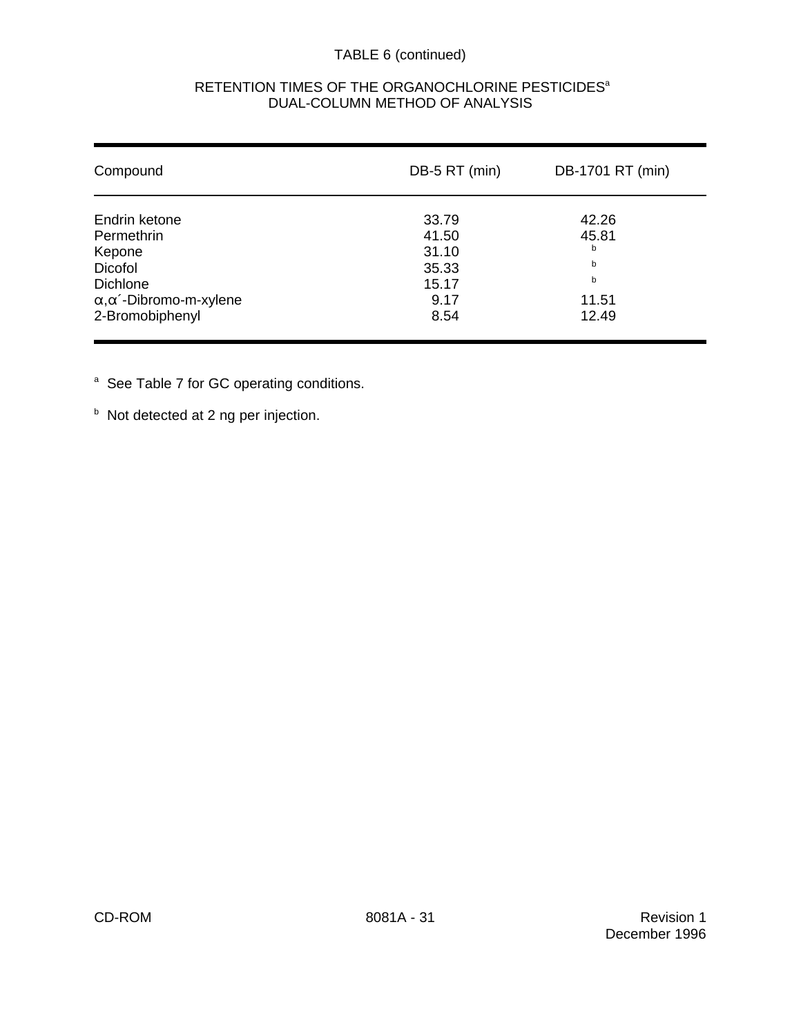# TABLE 6 (continued)

| Compound                            | DB-5 RT (min) | DB-1701 RT (min) |
|-------------------------------------|---------------|------------------|
| Endrin ketone                       | 33.79         | 42.26            |
| Permethrin                          | 41.50         | 45.81            |
| Kepone                              | 31.10         | b                |
| <b>Dicofol</b>                      | 35.33         | b                |
| <b>Dichlone</b>                     | 15.17         | b                |
| $\alpha, \alpha'$ -Dibromo-m-xylene | 9.17          | 11.51            |
| 2-Bromobiphenyl                     | 8.54          | 12.49            |

## RETENTION TIMES OF THE ORGANOCHLORINE PESTICIDES<sup>a</sup> DUAL-COLUMN METHOD OF ANALYSIS

<sup>a</sup> See Table 7 for GC operating conditions.

 $b$  Not detected at 2 ng per injection.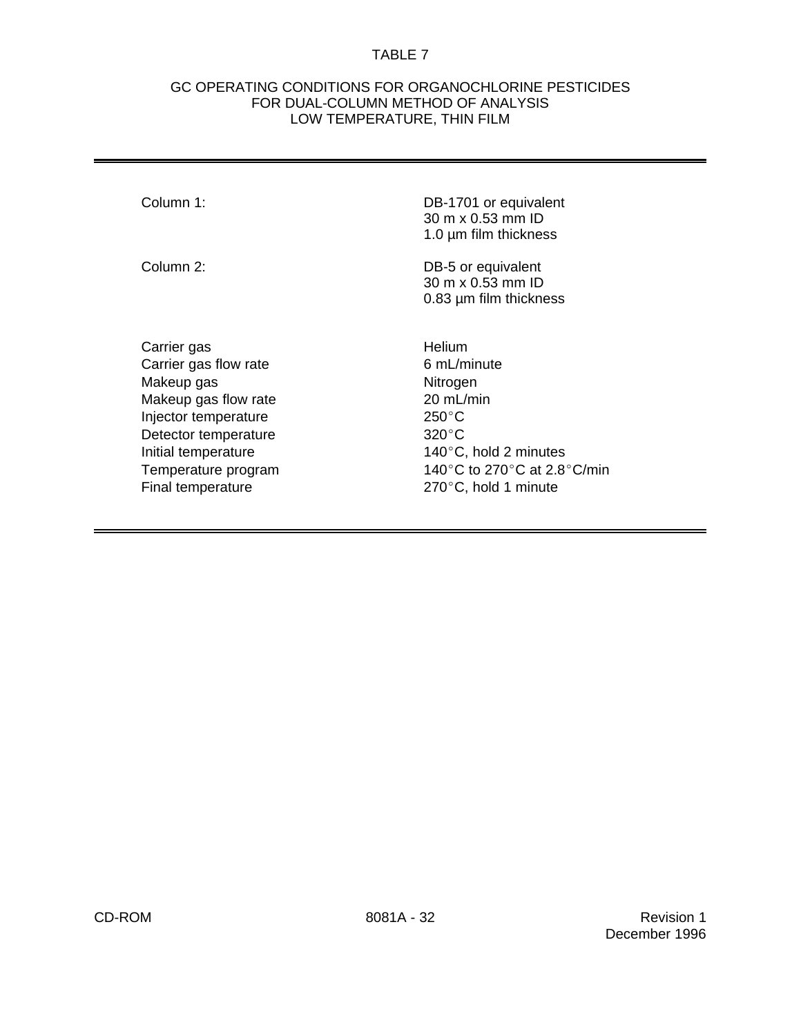#### GC OPERATING CONDITIONS FOR ORGANOCHLORINE PESTICIDES FOR DUAL-COLUMN METHOD OF ANALYSIS LOW TEMPERATURE, THIN FILM

Column 1: DB-1701 or equivalent 30 m x 0.53 mm ID 1.0 µm film thickness

| Column 2: | DB-5 or equivalent     |
|-----------|------------------------|
|           | 30 m x 0.53 mm ID      |
|           | 0.83 um film thickness |
|           |                        |

Carrier gas **Helium** Carrier gas flow rate 6 mL/minute Makeup gas Nitrogen Makeup gas flow rate 20 mL/min Injector temperature 250°C Detector temperature 320°C Final temperature 270°C, hold 1 minute

Initial temperature  $140^{\circ}$ C, hold 2 minutes Temperature program  $140^{\circ}$ C to 270 $^{\circ}$ C at 2.8 $^{\circ}$ C/min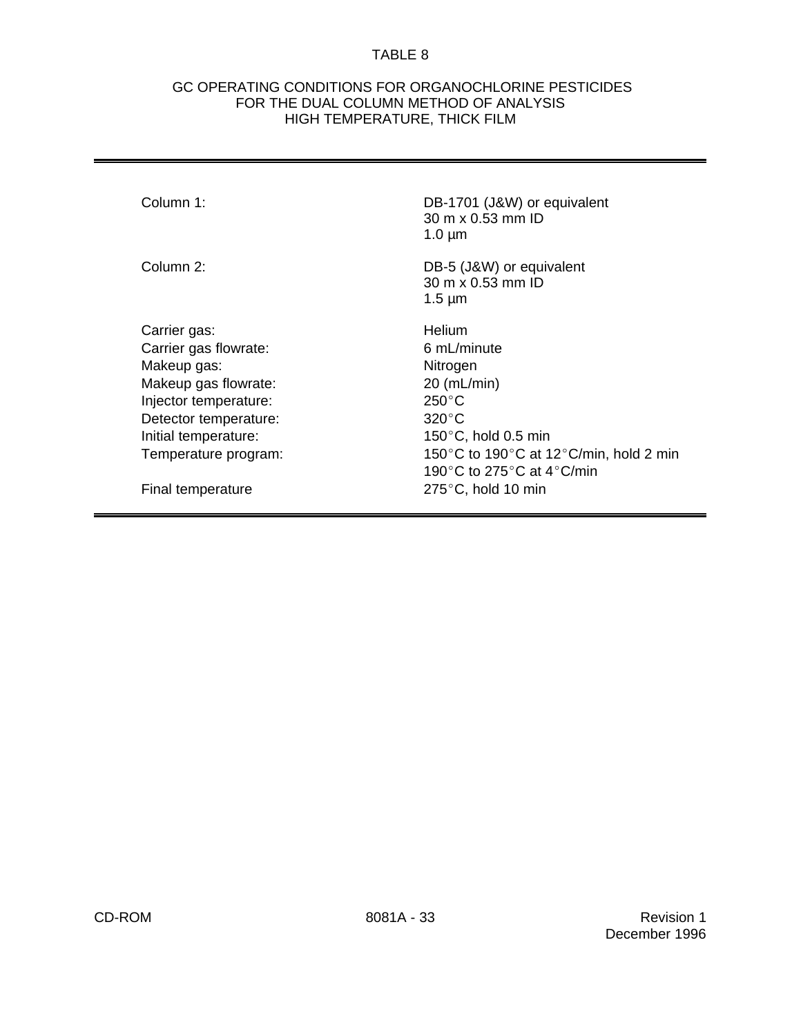#### GC OPERATING CONDITIONS FOR ORGANOCHLORINE PESTICIDES FOR THE DUAL COLUMN METHOD OF ANALYSIS HIGH TEMPERATURE, THICK FILM

| Column 1:             | DB-1701 (J&W) or equivalent<br>$30 \text{ m} \times 0.53 \text{ mm}$ ID<br>$1.0 \mu m$ |
|-----------------------|----------------------------------------------------------------------------------------|
| Column 2:             | DB-5 (J&W) or equivalent<br>30 m x 0.53 mm ID<br>$1.5 \mu m$                           |
| Carrier gas:          | <b>Helium</b>                                                                          |
| Carrier gas flowrate: | 6 mL/minute                                                                            |
| Makeup gas:           | Nitrogen                                                                               |
| Makeup gas flowrate:  | $20$ (mL/min)                                                                          |
| Injector temperature: | $250^{\circ}$ C                                                                        |
| Detector temperature: | $320^{\circ}$ C                                                                        |
| Initial temperature:  | $150^{\circ}$ C, hold 0.5 min                                                          |
| Temperature program:  | 150 $\degree$ C to 190 $\degree$ C at 12 $\degree$ C/min, hold 2 min                   |
|                       | 190°C to 275°C at 4°C/min                                                              |
| Final temperature     | $275^{\circ}$ C, hold 10 min                                                           |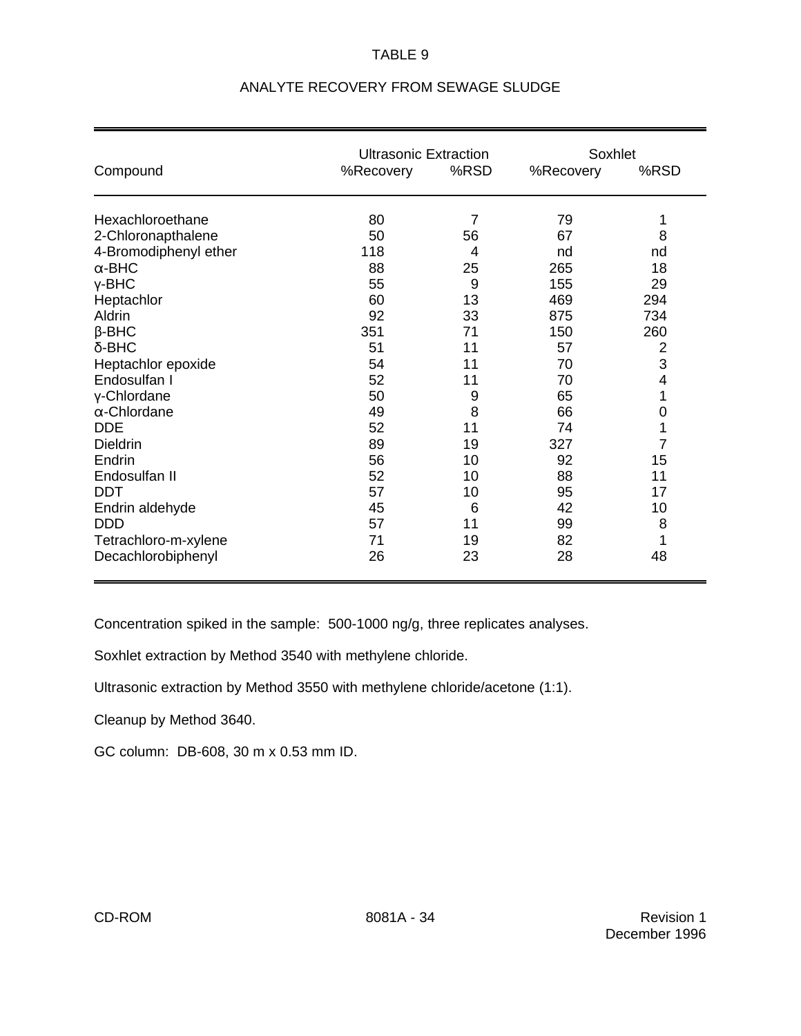|                       | <b>Ultrasonic Extraction</b> |                |           | Soxhlet |  |  |
|-----------------------|------------------------------|----------------|-----------|---------|--|--|
| Compound              | %Recovery                    | %RSD           | %Recovery | %RSD    |  |  |
| Hexachloroethane      | 80                           | $\overline{7}$ | 79        | 1       |  |  |
| 2-Chloronapthalene    | 50                           | 56             | 67        | 8       |  |  |
| 4-Bromodiphenyl ether | 118                          | 4              | nd        | nd      |  |  |
| $\alpha$ -BHC         | 88                           | 25             | 265       | 18      |  |  |
| $Y-BHC$               | 55                           | 9              | 155       | 29      |  |  |
| Heptachlor            | 60                           | 13             | 469       | 294     |  |  |
| Aldrin                | 92                           | 33             | 875       | 734     |  |  |
| $\beta$ -BHC          | 351                          | 71             | 150       | 260     |  |  |
| $\delta$ -BHC         | 51                           | 11             | 57        | 2       |  |  |
| Heptachlor epoxide    | 54                           | 11             | 70        | 3       |  |  |
| Endosulfan I          | 52                           | 11             | 70        | 4       |  |  |
| y-Chlordane           | 50                           | 9              | 65        | 1       |  |  |
| $\alpha$ -Chlordane   | 49                           | 8              | 66        | 0       |  |  |
| <b>DDE</b>            | 52                           | 11             | 74        | 1       |  |  |
| <b>Dieldrin</b>       | 89                           | 19             | 327       | 7       |  |  |
| Endrin                | 56                           | 10             | 92        | 15      |  |  |
| Endosulfan II         | 52                           | 10             | 88        | 11      |  |  |
| <b>DDT</b>            | 57                           | 10             | 95        | 17      |  |  |
| Endrin aldehyde       | 45                           | 6              | 42        | 10      |  |  |
| <b>DDD</b>            | 57                           | 11             | 99        | 8       |  |  |
| Tetrachloro-m-xylene  | 71                           | 19             | 82        | 1       |  |  |
| Decachlorobiphenyl    | 26                           | 23             | 28        | 48      |  |  |

# ANALYTE RECOVERY FROM SEWAGE SLUDGE

Concentration spiked in the sample: 500-1000 ng/g, three replicates analyses.

Soxhlet extraction by Method 3540 with methylene chloride.

Ultrasonic extraction by Method 3550 with methylene chloride/acetone (1:1).

Cleanup by Method 3640.

GC column: DB-608, 30 m x 0.53 mm ID.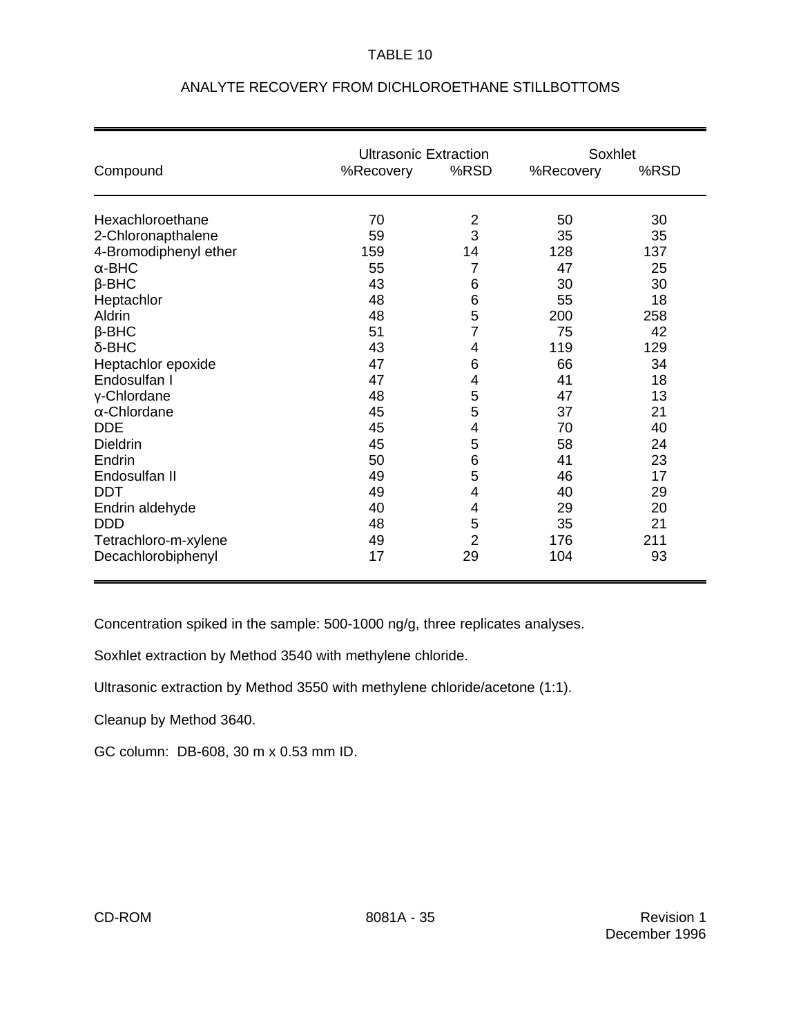|                       | <b>Ultrasonic Extraction</b> |                | Soxhlet   |      |  |
|-----------------------|------------------------------|----------------|-----------|------|--|
| Compound              | %Recovery                    | %RSD           | %Recovery | %RSD |  |
| Hexachloroethane      | 70                           | $\overline{c}$ | 50        | 30   |  |
| 2-Chloronapthalene    | 59                           | 3              | 35        | 35   |  |
| 4-Bromodiphenyl ether | 159                          | 14             | 128       | 137  |  |
| $\alpha$ -BHC         | 55                           | 7              | 47        | 25   |  |
| $\beta$ -BHC          | 43                           | 6              | 30        | 30   |  |
| Heptachlor            | 48                           | 6              | 55        | 18   |  |
| Aldrin                | 48                           | 5              | 200       | 258  |  |
| $\beta$ -BHC          | 51                           | 7              | 75        | 42   |  |
| $\delta$ -BHC         | 43                           | 4              | 119       | 129  |  |
| Heptachlor epoxide    | 47                           | 6              | 66        | 34   |  |
| Endosulfan I          | 47                           | 4              | 41        | 18   |  |
| γ-Chlordane           | 48                           | 5              | 47        | 13   |  |
| $\alpha$ -Chlordane   | 45                           | $\mathbf 5$    | 37        | 21   |  |
| <b>DDE</b>            | 45                           | 4              | 70        | 40   |  |
| <b>Dieldrin</b>       | 45                           | 5              | 58        | 24   |  |
| Endrin                | 50                           | 6              | 41        | 23   |  |
| Endosulfan II         | 49                           | 5              | 46        | 17   |  |
| <b>DDT</b>            | 49                           | 4              | 40        | 29   |  |
| Endrin aldehyde       | 40                           | 4              | 29        | 20   |  |
| <b>DDD</b>            | 48                           | 5              | 35        | 21   |  |
| Tetrachloro-m-xylene  | 49                           | $\overline{2}$ | 176       | 211  |  |
| Decachlorobiphenyl    | 17                           | 29             | 104       | 93   |  |

# ANALYTE RECOVERY FROM DICHLOROETHANE STILLBOTTOMS

Concentration spiked in the sample: 500-1000 ng/g, three replicates analyses.

Soxhlet extraction by Method 3540 with methylene chloride.

Ultrasonic extraction by Method 3550 with methylene chloride/acetone (1:1).

Cleanup by Method 3640.

GC column: DB-608, 30 m x 0.53 mm ID.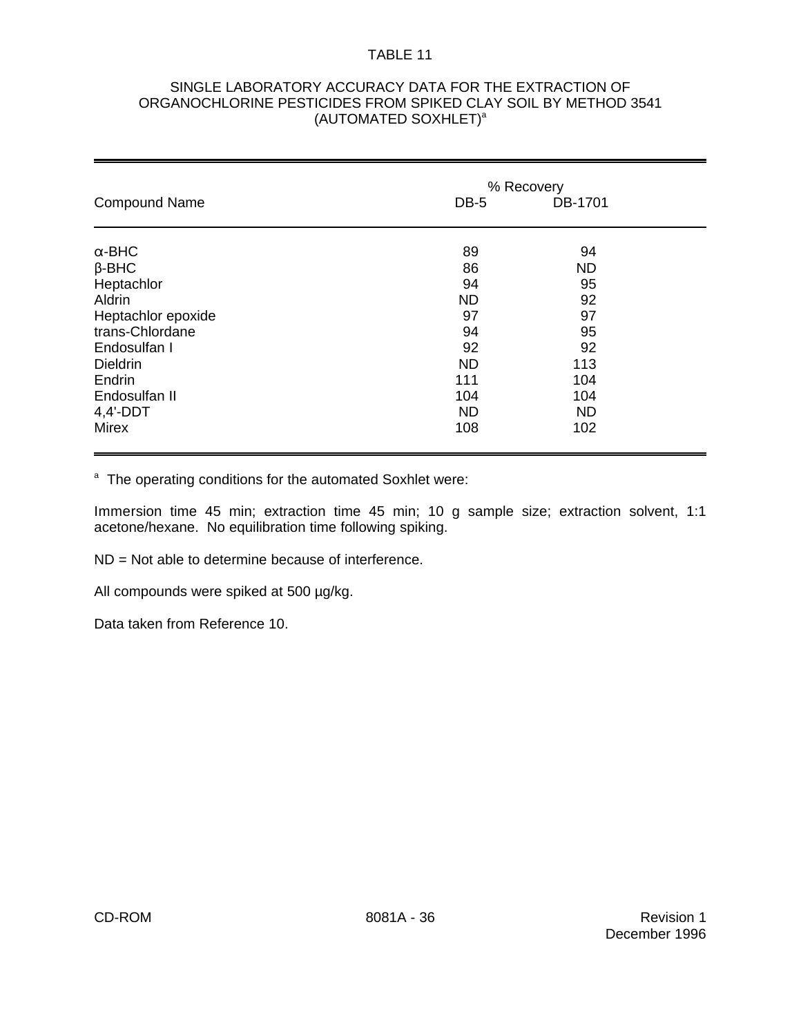### SINGLE LABORATORY ACCURACY DATA FOR THE EXTRACTION OF ORGANOCHLORINE PESTICIDES FROM SPIKED CLAY SOIL BY METHOD 3541 (AUTOMATED SOXHLET)<sup>a</sup>

|                      | % Recovery |           |  |  |  |
|----------------------|------------|-----------|--|--|--|
| <b>Compound Name</b> | DB-5       | DB-1701   |  |  |  |
| $\alpha$ -BHC        | 89         | 94        |  |  |  |
| $\beta$ -BHC         | 86         | <b>ND</b> |  |  |  |
| Heptachlor           | 94         | 95        |  |  |  |
| Aldrin               | <b>ND</b>  | 92        |  |  |  |
| Heptachlor epoxide   | 97         | 97        |  |  |  |
| trans-Chlordane      | 94         | 95        |  |  |  |
| Endosulfan I         | 92         | 92        |  |  |  |
| <b>Dieldrin</b>      | <b>ND</b>  | 113       |  |  |  |
| Endrin               | 111        | 104       |  |  |  |
| Endosulfan II        | 104        | 104       |  |  |  |
| $4,4'-DDT$           | <b>ND</b>  | <b>ND</b> |  |  |  |
| <b>Mirex</b>         | 108        | 102       |  |  |  |

<sup>a</sup> The operating conditions for the automated Soxhlet were:

Immersion time 45 min; extraction time 45 min; 10 g sample size; extraction solvent, 1:1 acetone/hexane. No equilibration time following spiking.

ND = Not able to determine because of interference.

All compounds were spiked at 500 µg/kg.

Data taken from Reference 10.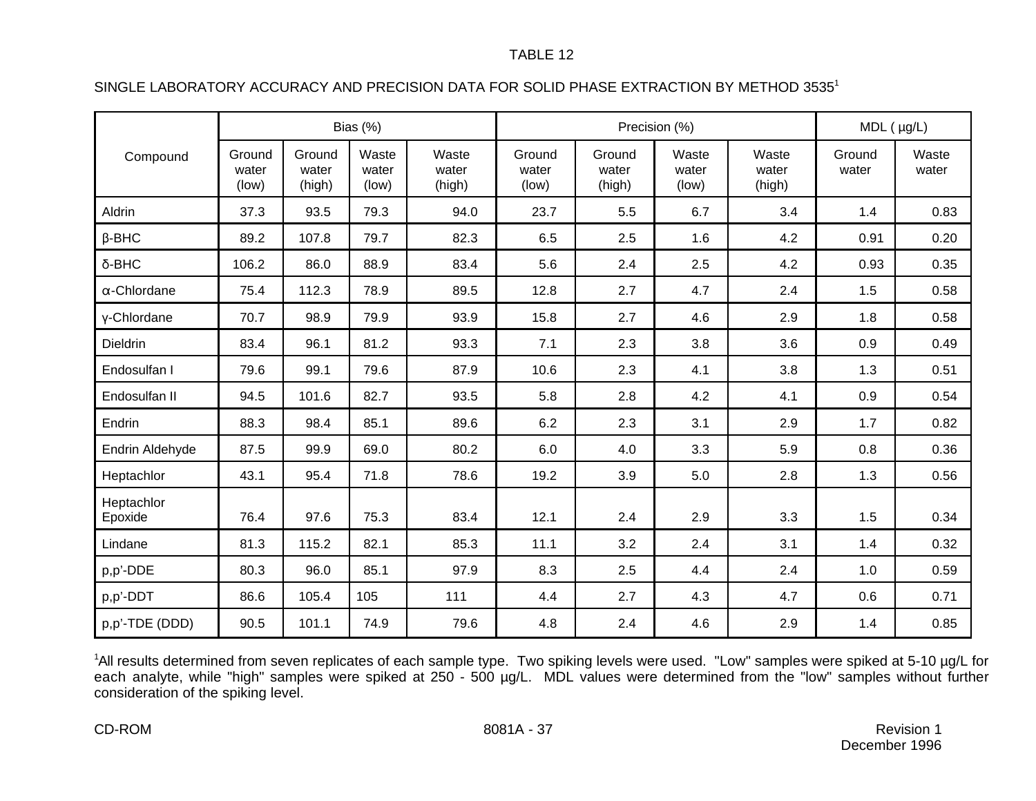# SINGLE LABORATORY ACCURACY AND PRECISION DATA FOR SOLID PHASE EXTRACTION BY METHOD 3535<sup>1</sup>

|                       | Bias (%)                 |                           |                         | Precision (%)            |                          |                           |                         | $MDL$ ( $\mu g/L$ )      |                 |                |
|-----------------------|--------------------------|---------------------------|-------------------------|--------------------------|--------------------------|---------------------------|-------------------------|--------------------------|-----------------|----------------|
| Compound              | Ground<br>water<br>(low) | Ground<br>water<br>(high) | Waste<br>water<br>(low) | Waste<br>water<br>(high) | Ground<br>water<br>(low) | Ground<br>water<br>(high) | Waste<br>water<br>(low) | Waste<br>water<br>(high) | Ground<br>water | Waste<br>water |
| Aldrin                | 37.3                     | 93.5                      | 79.3                    | 94.0                     | 23.7                     | 5.5                       | 6.7                     | 3.4                      | 1.4             | 0.83           |
| $\beta$ -BHC          | 89.2                     | 107.8                     | 79.7                    | 82.3                     | 6.5                      | 2.5                       | 1.6                     | 4.2                      | 0.91            | 0.20           |
| δ-BHC                 | 106.2                    | 86.0                      | 88.9                    | 83.4                     | 5.6                      | 2.4                       | 2.5                     | 4.2                      | 0.93            | 0.35           |
| $\alpha$ -Chlordane   | 75.4                     | 112.3                     | 78.9                    | 89.5                     | 12.8                     | 2.7                       | 4.7                     | 2.4                      | 1.5             | 0.58           |
| y-Chlordane           | 70.7                     | 98.9                      | 79.9                    | 93.9                     | 15.8                     | 2.7                       | 4.6                     | 2.9                      | 1.8             | 0.58           |
| <b>Dieldrin</b>       | 83.4                     | 96.1                      | 81.2                    | 93.3                     | 7.1                      | 2.3                       | 3.8                     | 3.6                      | 0.9             | 0.49           |
| Endosulfan I          | 79.6                     | 99.1                      | 79.6                    | 87.9                     | 10.6                     | 2.3                       | 4.1                     | 3.8                      | 1.3             | 0.51           |
| Endosulfan II         | 94.5                     | 101.6                     | 82.7                    | 93.5                     | 5.8                      | 2.8                       | 4.2                     | 4.1                      | 0.9             | 0.54           |
| Endrin                | 88.3                     | 98.4                      | 85.1                    | 89.6                     | 6.2                      | 2.3                       | 3.1                     | 2.9                      | 1.7             | 0.82           |
| Endrin Aldehyde       | 87.5                     | 99.9                      | 69.0                    | 80.2                     | 6.0                      | 4.0                       | 3.3                     | 5.9                      | 0.8             | 0.36           |
| Heptachlor            | 43.1                     | 95.4                      | 71.8                    | 78.6                     | 19.2                     | 3.9                       | 5.0                     | 2.8                      | 1.3             | 0.56           |
| Heptachlor<br>Epoxide | 76.4                     | 97.6                      | 75.3                    | 83.4                     | 12.1                     | 2.4                       | 2.9                     | 3.3                      | 1.5             | 0.34           |
| Lindane               | 81.3                     | 115.2                     | 82.1                    | 85.3                     | 11.1                     | 3.2                       | 2.4                     | 3.1                      | 1.4             | 0.32           |
| p,p'-DDE              | 80.3                     | 96.0                      | 85.1                    | 97.9                     | 8.3                      | 2.5                       | 4.4                     | 2.4                      | 1.0             | 0.59           |
| p,p'-DDT              | 86.6                     | 105.4                     | 105                     | 111                      | 4.4                      | 2.7                       | 4.3                     | 4.7                      | 0.6             | 0.71           |
| p,p'-TDE (DDD)        | 90.5                     | 101.1                     | 74.9                    | 79.6                     | 4.8                      | 2.4                       | 4.6                     | 2.9                      | 1.4             | 0.85           |

<sup>1</sup>All results determined from seven replicates of each sample type. Two spiking levels were used. "Low" samples were spiked at 5-10 µg/L for each analyte, while "high" samples were spiked at 250 - 500 µg/L. MDL values were determined from the "low" samples without further consideration of the spiking level.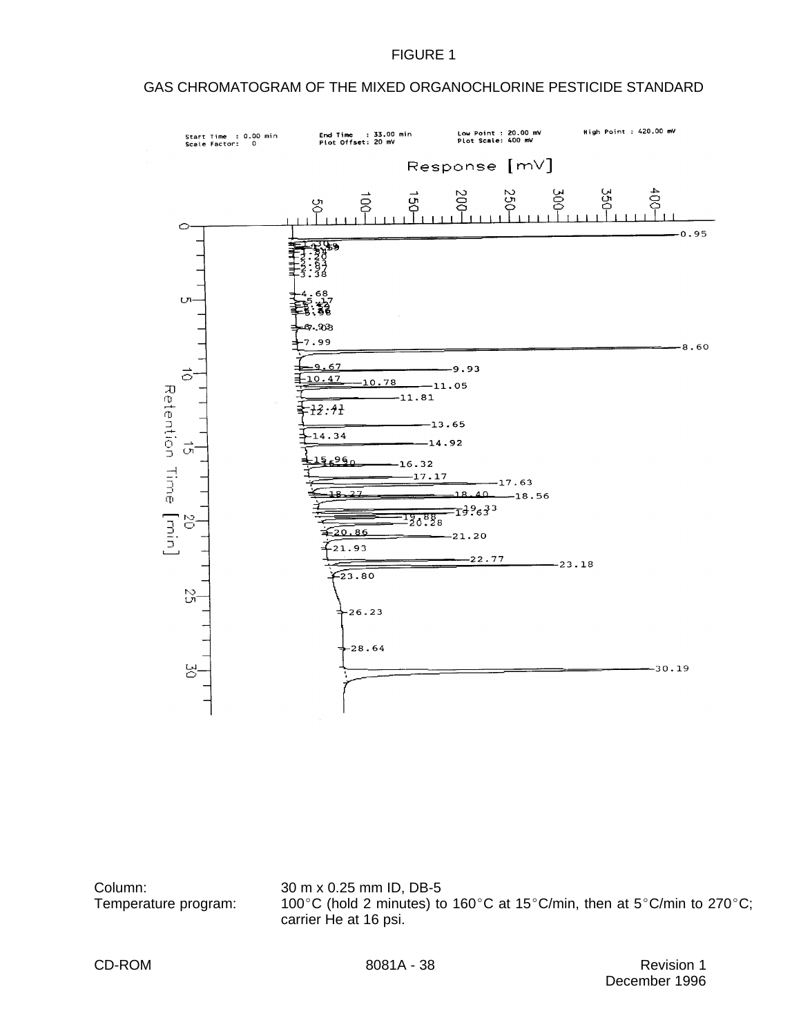## GAS CHROMATOGRAM OF THE MIXED ORGANOCHLORINE PESTICIDE STANDARD



Column: 30 m x 0.25 mm ID, DB-5 Temperature program: 100°C (hold 2 minutes) to 160°C at 15°C/min, then at 5°C/min to 270°C; carrier He at 16 psi.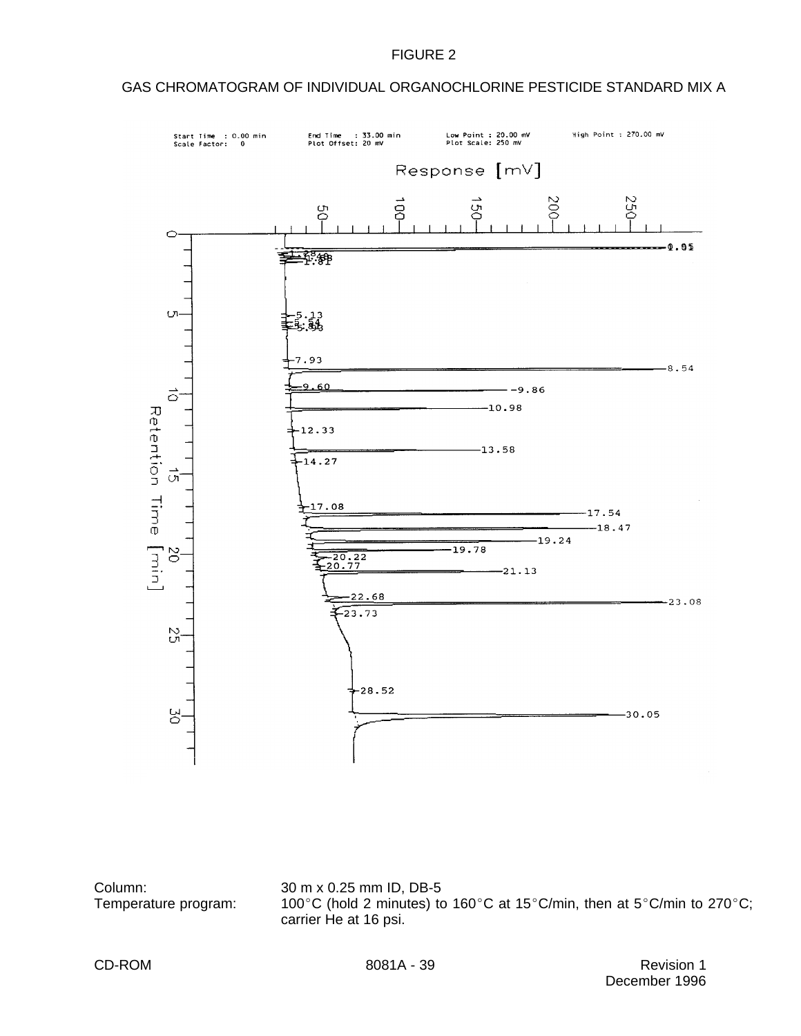## GAS CHROMATOGRAM OF INDIVIDUAL ORGANOCHLORINE PESTICIDE STANDARD MIX A



Column: 30 m x 0.25 mm ID, DB-5

Temperature program: 100°C (hold 2 minutes) to 160°C at 15°C/min, then at 5°C/min to 270°C; carrier He at 16 psi.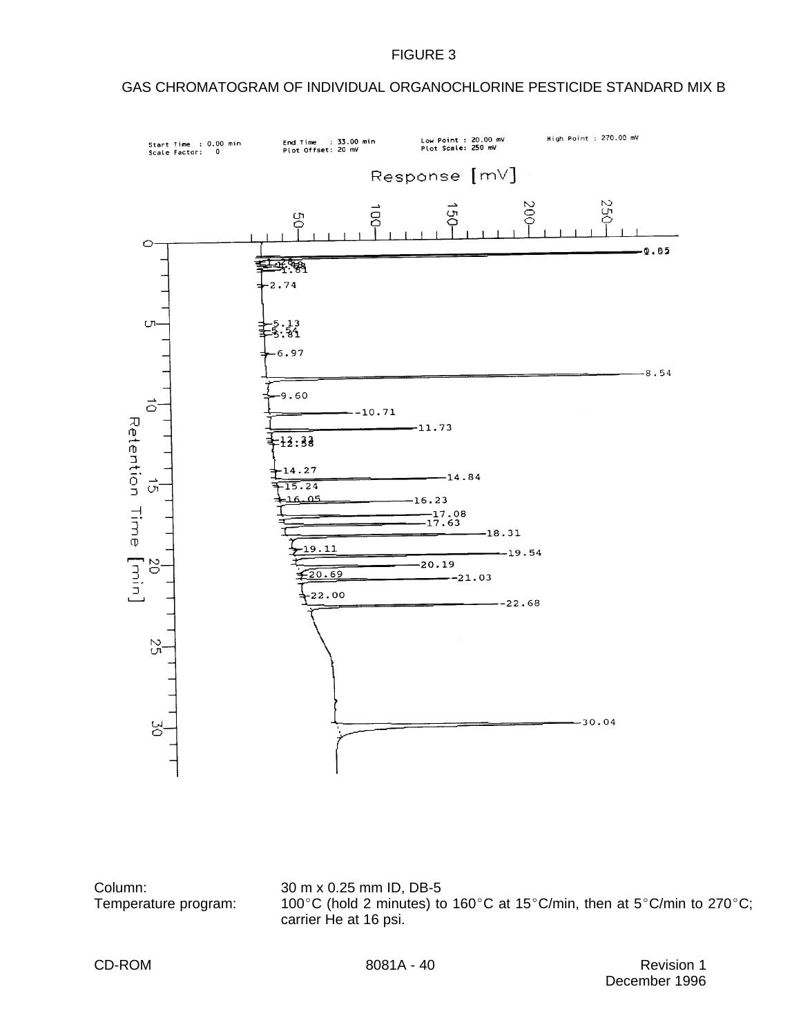### GAS CHROMATOGRAM OF INDIVIDUAL ORGANOCHLORINE PESTICIDE STANDARD MIX B



Column: 30 m x 0.25 mm ID, DB-5

Temperature program: 100°C (hold 2 minutes) to 160°C at 15°C/min, then at 5°C/min to 270°C; carrier He at 16 psi.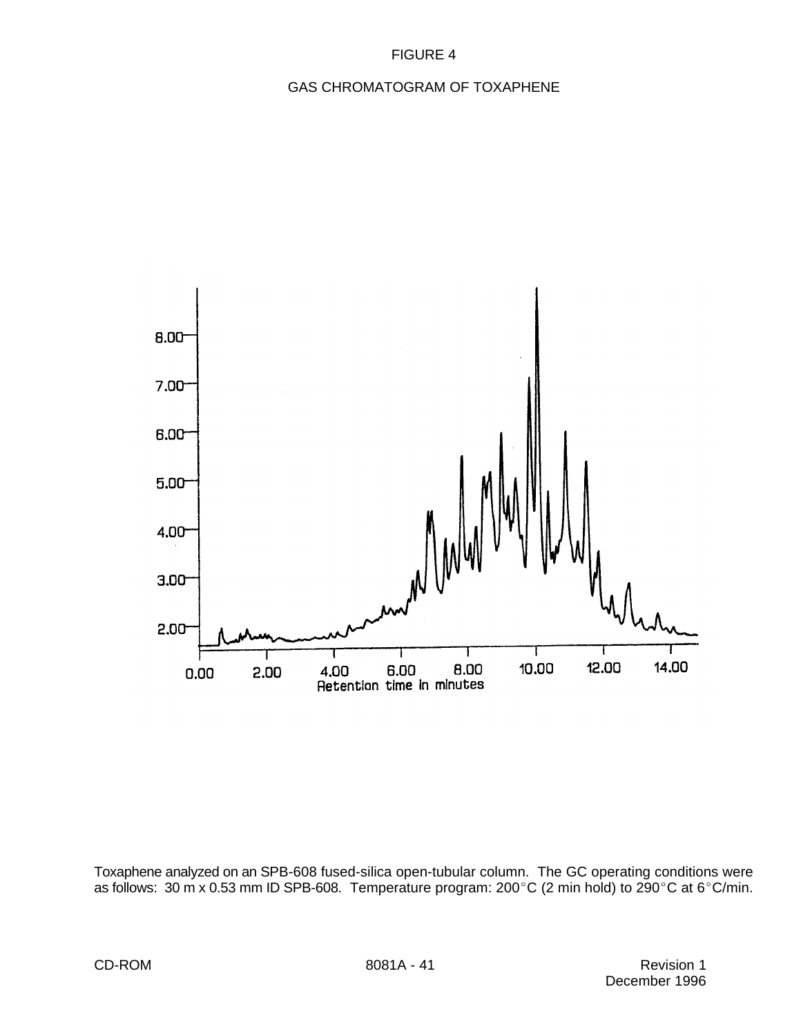## GAS CHROMATOGRAM OF TOXAPHENE



Toxaphene analyzed on an SPB-608 fused-silica open-tubular column. The GC operating conditions were as follows:  $30 \text{ m} \times 0.53 \text{ mm}$  ID SPB-608. Temperature program:  $200^{\circ}$ C (2 min hold) to  $290^{\circ}$ C at 6 $^{\circ}$ C/min.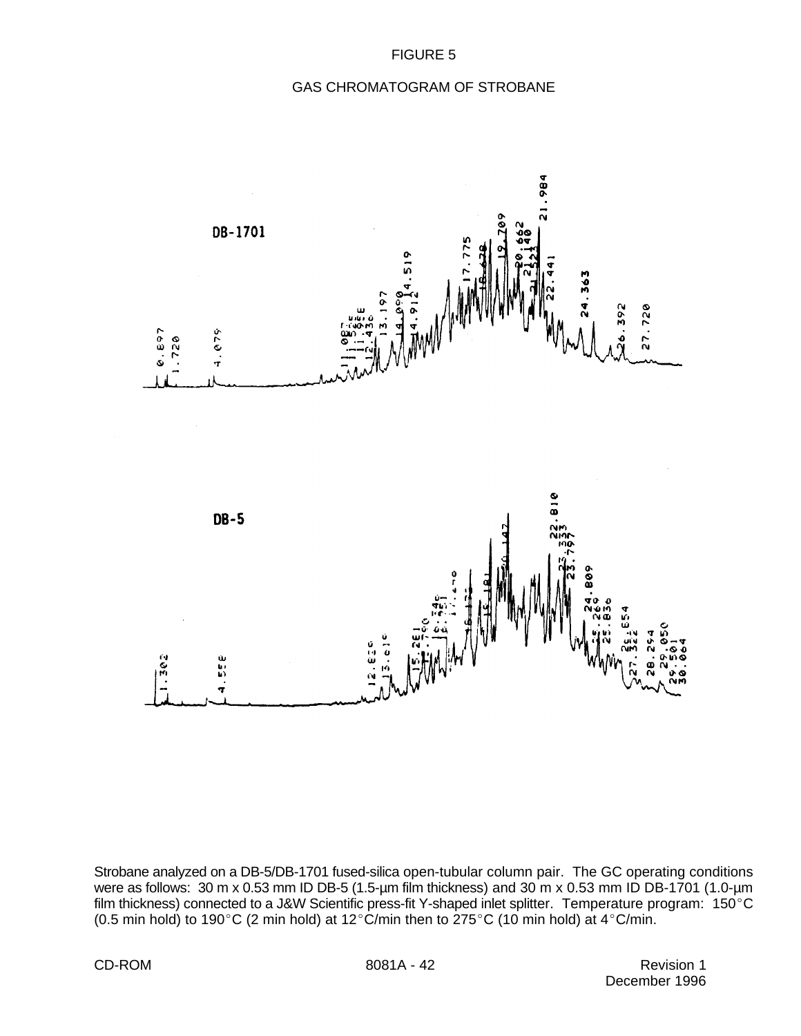### GAS CHROMATOGRAM OF STROBANE



Strobane analyzed on a DB-5/DB-1701 fused-silica open-tubular column pair. The GC operating conditions were as follows: 30 m x 0.53 mm ID DB-5 (1.5-um film thickness) and 30 m x 0.53 mm ID DB-1701 (1.0-um film thickness) connected to a J&W Scientific press-fit Y-shaped inlet splitter. Temperature program: 150°C (0.5 min hold) to 190°C (2 min hold) at 12°C/min then to 275°C (10 min hold) at 4°C/min.

CD-ROM 8081A - 42 Revision 1 December 1996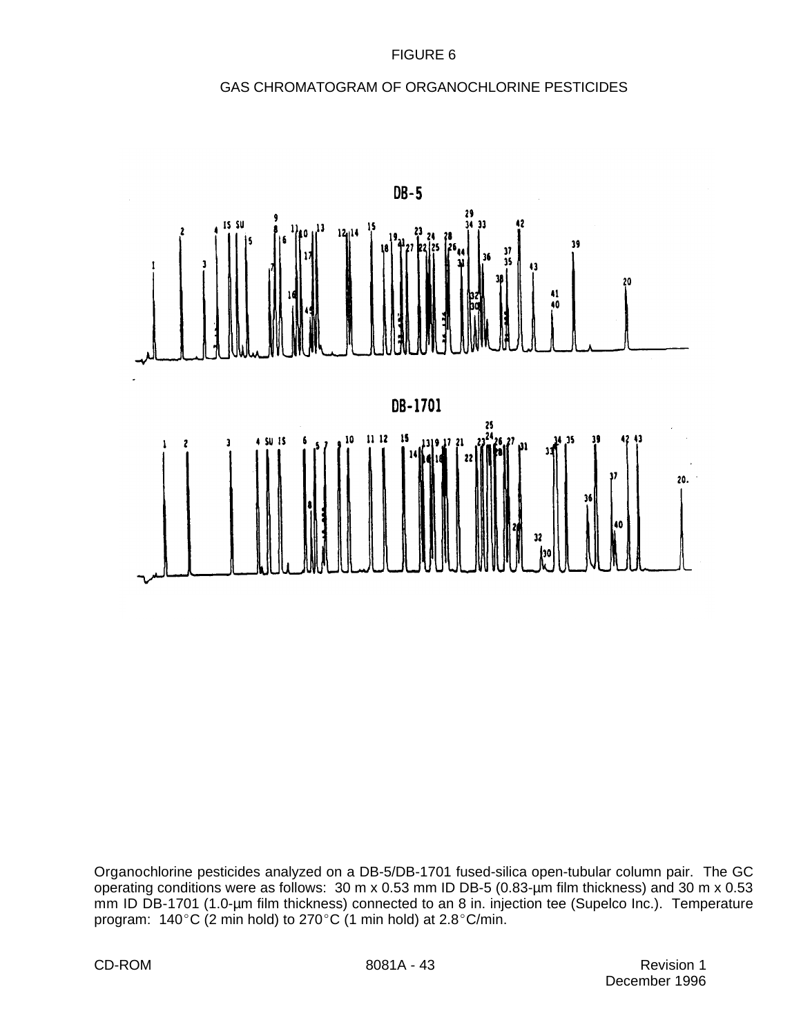# GAS CHROMATOGRAM OF ORGANOCHLORINE PESTICIDES



Organochlorine pesticides analyzed on a DB-5/DB-1701 fused-silica open-tubular column pair. The GC operating conditions were as follows: 30 m x 0.53 mm ID DB-5 (0.83-µm film thickness) and 30 m x 0.53 mm ID DB-1701 (1.0-um film thickness) connected to an 8 in. injection tee (Supelco Inc.). Temperature program:  $140^{\circ}$ C (2 min hold) to 270°C (1 min hold) at 2.8°C/min.